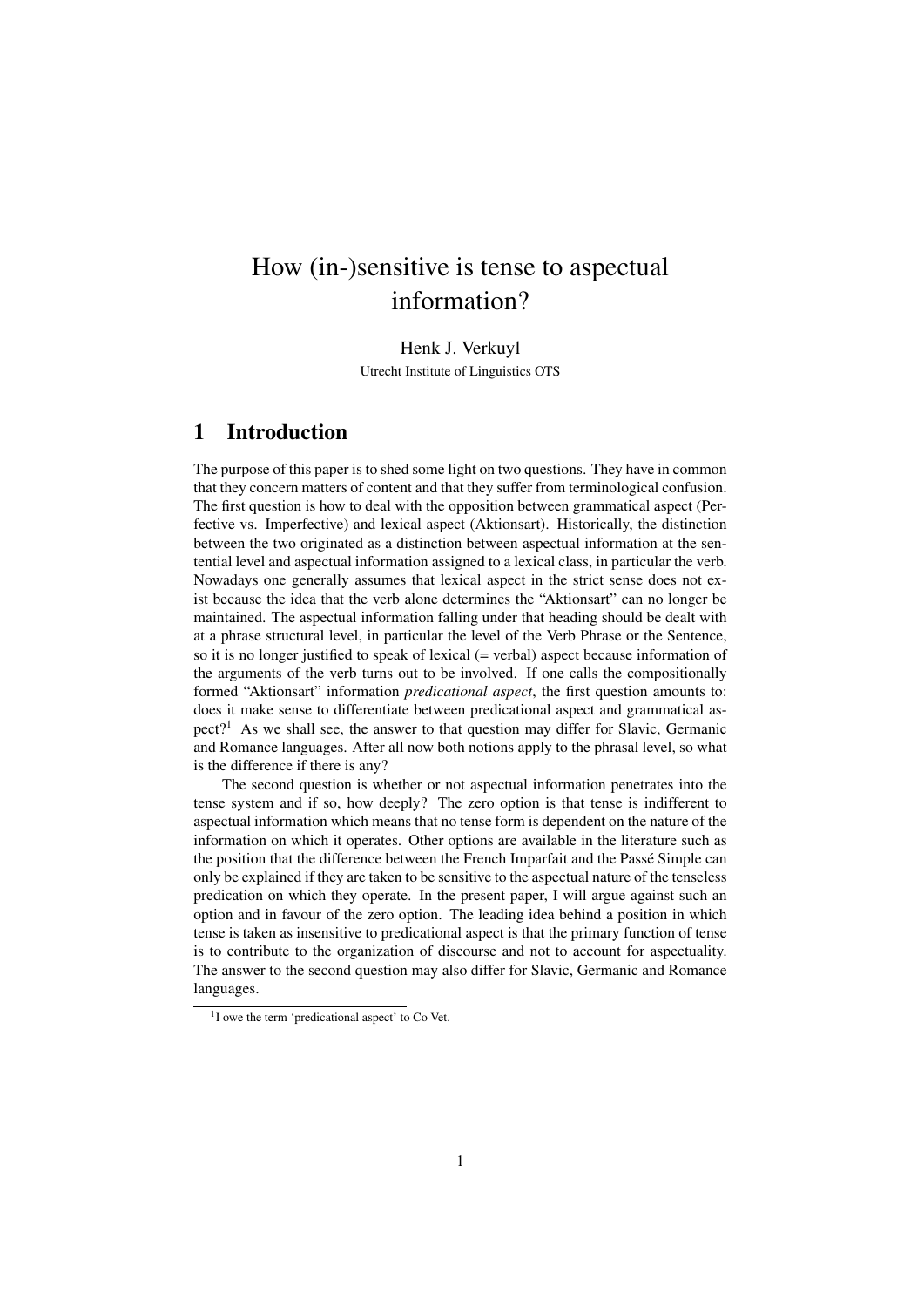# How (in-)sensitive is tense to aspectual information?

Henk J. Verkuyl Utrecht Institute of Linguistics OTS

# 1 Introduction

The purpose of this paper is to shed some light on two questions. They have in common that they concern matters of content and that they suffer from terminological confusion. The first question is how to deal with the opposition between grammatical aspect (Perfective vs. Imperfective) and lexical aspect (Aktionsart). Historically, the distinction between the two originated as a distinction between aspectual information at the sentential level and aspectual information assigned to a lexical class, in particular the verb. Nowadays one generally assumes that lexical aspect in the strict sense does not exist because the idea that the verb alone determines the "Aktionsart" can no longer be maintained. The aspectual information falling under that heading should be dealt with at a phrase structural level, in particular the level of the Verb Phrase or the Sentence, so it is no longer justified to speak of lexical (= verbal) aspect because information of the arguments of the verb turns out to be involved. If one calls the compositionally formed "Aktionsart" information *predicational aspect*, the first question amounts to: does it make sense to differentiate between predicational aspect and grammatical aspect?<sup>1</sup> As we shall see, the answer to that question may differ for Slavic, Germanic and Romance languages. After all now both notions apply to the phrasal level, so what is the difference if there is any?

The second question is whether or not aspectual information penetrates into the tense system and if so, how deeply? The zero option is that tense is indifferent to aspectual information which means that no tense form is dependent on the nature of the information on which it operates. Other options are available in the literature such as the position that the difference between the French Imparfait and the Passe Simple can ´ only be explained if they are taken to be sensitive to the aspectual nature of the tenseless predication on which they operate. In the present paper, I will argue against such an option and in favour of the zero option. The leading idea behind a position in which tense is taken as insensitive to predicational aspect is that the primary function of tense is to contribute to the organization of discourse and not to account for aspectuality. The answer to the second question may also differ for Slavic, Germanic and Romance languages.

<sup>&</sup>lt;sup>1</sup>I owe the term 'predicational aspect' to Co Vet.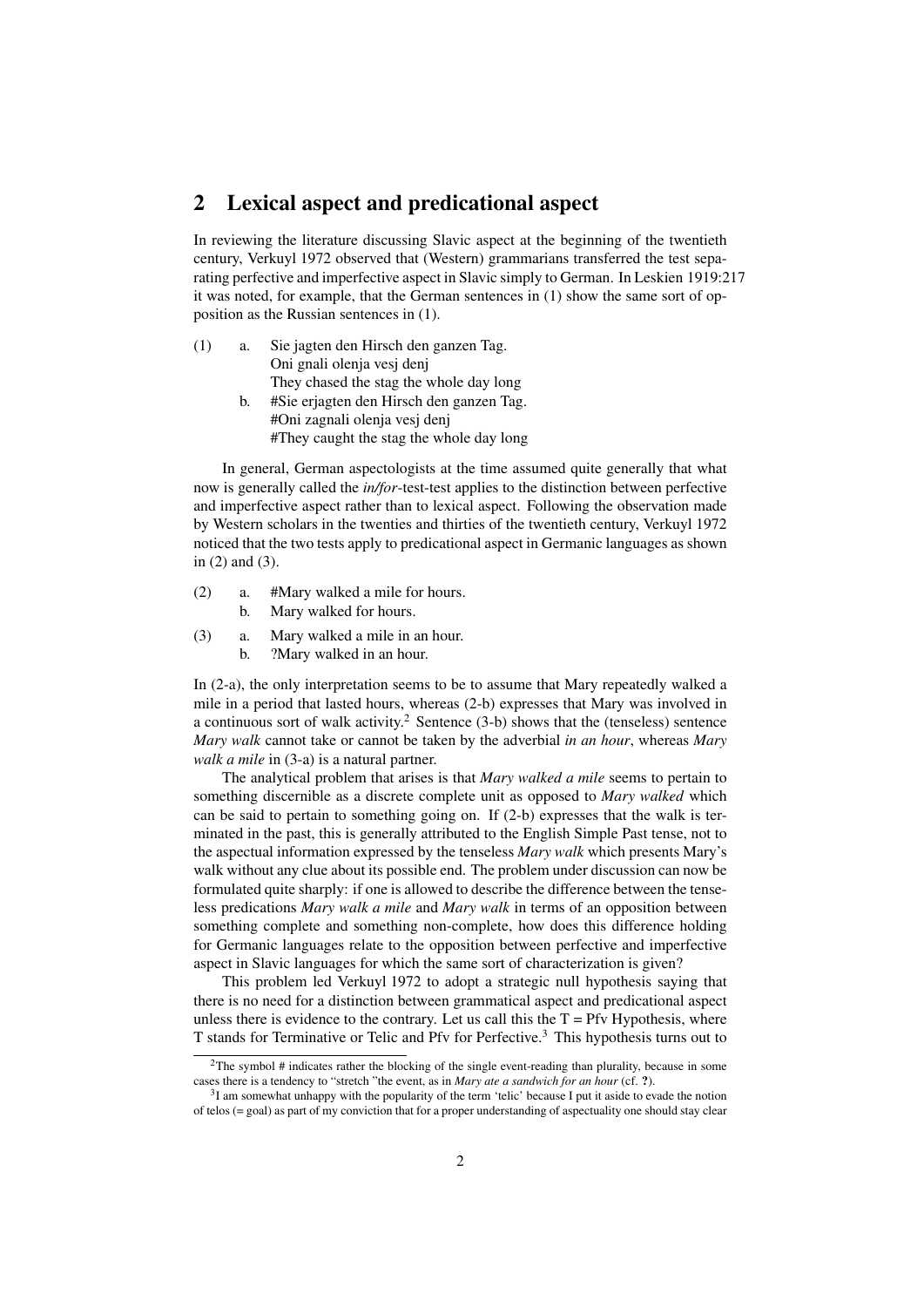## 2 Lexical aspect and predicational aspect

In reviewing the literature discussing Slavic aspect at the beginning of the twentieth century, Verkuyl 1972 observed that (Western) grammarians transferred the test separating perfective and imperfective aspect in Slavic simply to German. In Leskien 1919:217 it was noted, for example, that the German sentences in (1) show the same sort of opposition as the Russian sentences in (1).

| (1) | a. | Sie jagten den Hirsch den ganzen Tag.    |
|-----|----|------------------------------------------|
|     |    | Oni gnali olenja vesj denj               |
|     |    | They chased the stag the whole day long  |
|     | b. | #Sie erjagten den Hirsch den ganzen Tag. |
|     |    | #Oni zagnali olenja vesj denj            |
|     |    | #They caught the stag the whole day long |

In general, German aspectologists at the time assumed quite generally that what now is generally called the *in/for*-test-test applies to the distinction between perfective and imperfective aspect rather than to lexical aspect. Following the observation made by Western scholars in the twenties and thirties of the twentieth century, Verkuyl 1972 noticed that the two tests apply to predicational aspect in Germanic languages as shown in (2) and (3).

- (2) a. #Mary walked a mile for hours.
	- b. Mary walked for hours.
- (3) a. Mary walked a mile in an hour.
	- b. ?Mary walked in an hour.

In (2-a), the only interpretation seems to be to assume that Mary repeatedly walked a mile in a period that lasted hours, whereas (2-b) expresses that Mary was involved in a continuous sort of walk activity.<sup>2</sup> Sentence  $(3-b)$  shows that the (tenseless) sentence *Mary walk* cannot take or cannot be taken by the adverbial *in an hour*, whereas *Mary walk a mile* in (3-a) is a natural partner.

The analytical problem that arises is that *Mary walked a mile* seems to pertain to something discernible as a discrete complete unit as opposed to *Mary walked* which can be said to pertain to something going on. If (2-b) expresses that the walk is terminated in the past, this is generally attributed to the English Simple Past tense, not to the aspectual information expressed by the tenseless *Mary walk* which presents Mary's walk without any clue about its possible end. The problem under discussion can now be formulated quite sharply: if one is allowed to describe the difference between the tenseless predications *Mary walk a mile* and *Mary walk* in terms of an opposition between something complete and something non-complete, how does this difference holding for Germanic languages relate to the opposition between perfective and imperfective aspect in Slavic languages for which the same sort of characterization is given?

This problem led Verkuyl 1972 to adopt a strategic null hypothesis saying that there is no need for a distinction between grammatical aspect and predicational aspect unless there is evidence to the contrary. Let us call this the  $T = Pf_v$  Hypothesis, where T stands for Terminative or Telic and Pfv for Perfective.<sup>3</sup> This hypothesis turns out to

<sup>&</sup>lt;sup>2</sup>The symbol # indicates rather the blocking of the single event-reading than plurality, because in some cases there is a tendency to "stretch "the event, as in *Mary ate a sandwich for an hour* (cf. ?).

 $3I$  am somewhat unhappy with the popularity of the term 'telic' because I put it aside to evade the notion of telos (= goal) as part of my conviction that for a proper understanding of aspectuality one should stay clear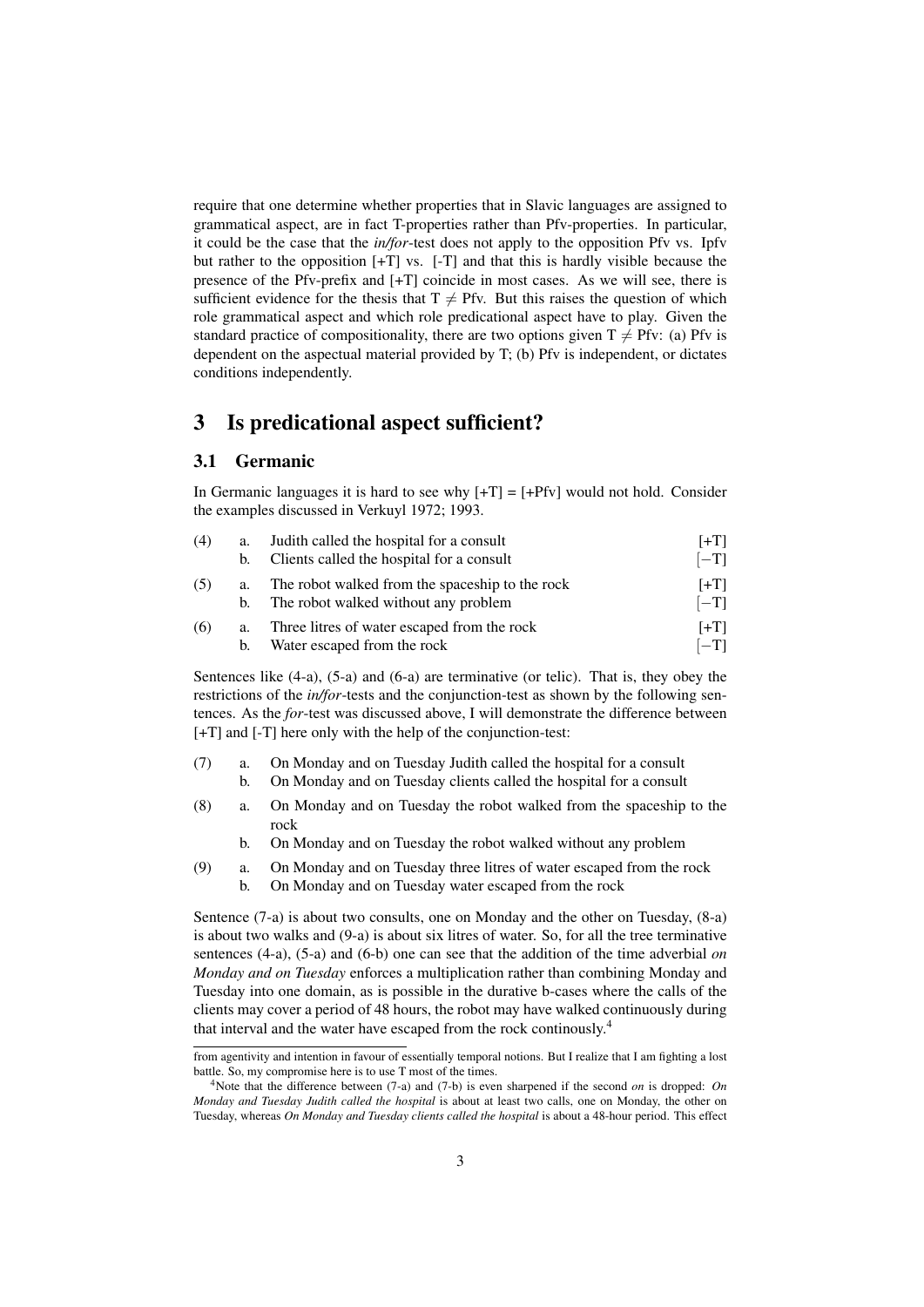require that one determine whether properties that in Slavic languages are assigned to grammatical aspect, are in fact T-properties rather than Pfv-properties. In particular, it could be the case that the *in/for*-test does not apply to the opposition Pfv vs. Ipfv but rather to the opposition  $[+T]$  vs.  $[-T]$  and that this is hardly visible because the presence of the Pfv-prefix and [+T] coincide in most cases. As we will see, there is sufficient evidence for the thesis that  $T \neq$  Pfv. But this raises the question of which role grammatical aspect and which role predicational aspect have to play. Given the standard practice of compositionality, there are two options given  $T \neq Pfv$ : (a) Pfv is dependent on the aspectual material provided by T; (b) Pfv is independent, or dictates conditions independently.

## 3 Is predicational aspect sufficient?

#### 3.1 Germanic

In Germanic languages it is hard to see why  $[+T] = [+Pf\nu]$  would not hold. Consider the examples discussed in Verkuyl 1972; 1993.

| (4) | a. | Judith called the hospital for a consult                                                   | $[+T]$           |
|-----|----|--------------------------------------------------------------------------------------------|------------------|
|     | b. | Clients called the hospital for a consult                                                  | $[-T]$           |
| (5) | b. | a. The robot walked from the spaceship to the rock<br>The robot walked without any problem | $[+T]$<br>$ -T $ |
| (6) | a. | Three litres of water escaped from the rock                                                | $[+T]$           |
|     | b. | Water escaped from the rock                                                                | $[-\mathrm{T}]$  |

Sentences like (4-a), (5-a) and (6-a) are terminative (or telic). That is, they obey the restrictions of the *in/for*-tests and the conjunction-test as shown by the following sentences. As the *for*-test was discussed above, I will demonstrate the difference between [+T] and [-T] here only with the help of the conjunction-test:

- (7) a. On Monday and on Tuesday Judith called the hospital for a consult b. On Monday and on Tuesday clients called the hospital for a consult
- (8) a. On Monday and on Tuesday the robot walked from the spaceship to the rock
	- b. On Monday and on Tuesday the robot walked without any problem
- (9) a. On Monday and on Tuesday three litres of water escaped from the rock b. On Monday and on Tuesday water escaped from the rock

Sentence (7-a) is about two consults, one on Monday and the other on Tuesday, (8-a) is about two walks and (9-a) is about six litres of water. So, for all the tree terminative sentences (4-a), (5-a) and (6-b) one can see that the addition of the time adverbial *on Monday and on Tuesday* enforces a multiplication rather than combining Monday and Tuesday into one domain, as is possible in the durative b-cases where the calls of the clients may cover a period of 48 hours, the robot may have walked continuously during that interval and the water have escaped from the rock continously.<sup>4</sup>

from agentivity and intention in favour of essentially temporal notions. But I realize that I am fighting a lost battle. So, my compromise here is to use T most of the times.

<sup>4</sup>Note that the difference between (7-a) and (7-b) is even sharpened if the second *on* is dropped: *On Monday and Tuesday Judith called the hospital* is about at least two calls, one on Monday, the other on Tuesday, whereas *On Monday and Tuesday clients called the hospital* is about a 48-hour period. This effect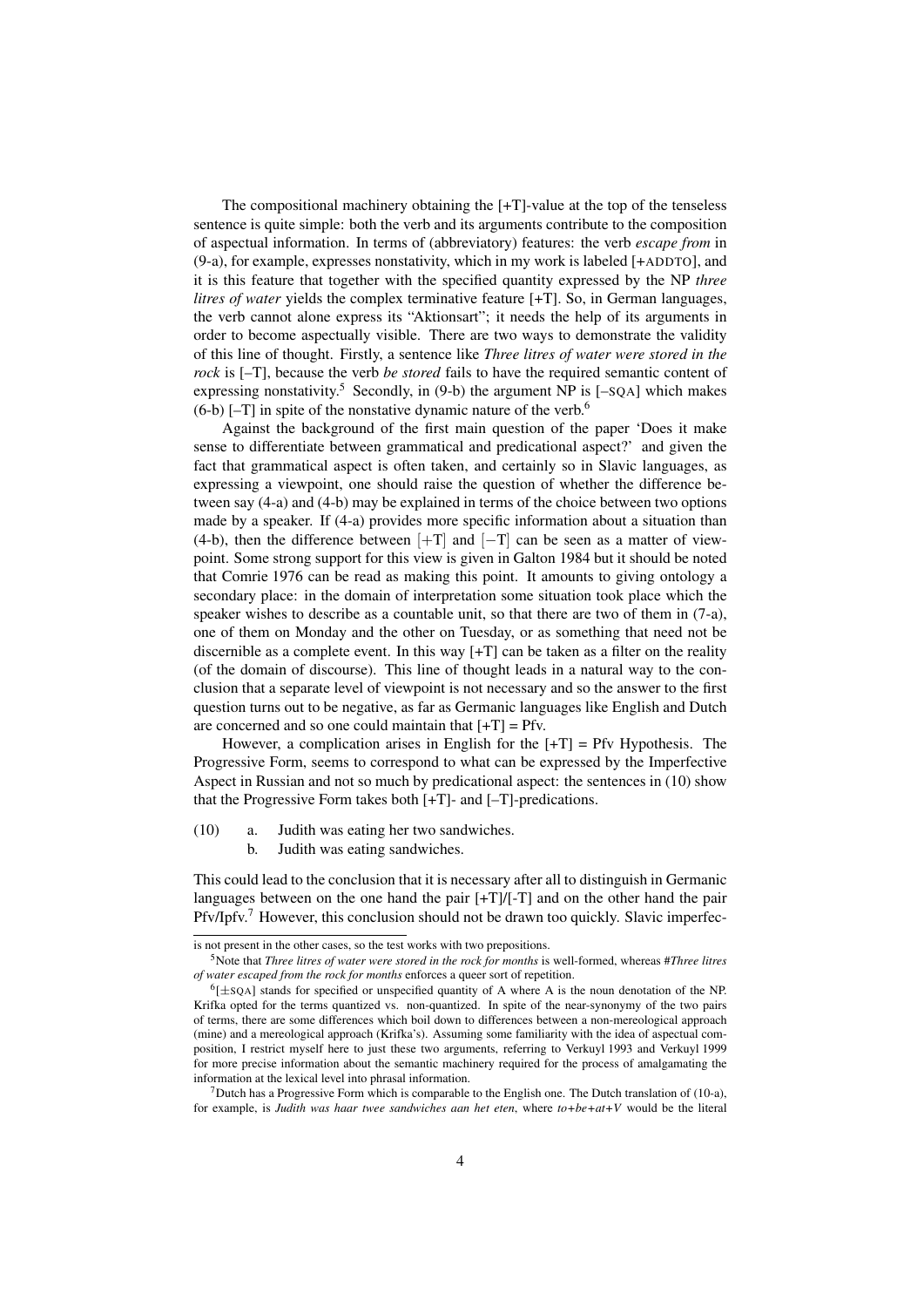The compositional machinery obtaining the [+T]-value at the top of the tenseless sentence is quite simple: both the verb and its arguments contribute to the composition of aspectual information. In terms of (abbreviatory) features: the verb *escape from* in (9-a), for example, expresses nonstativity, which in my work is labeled [+ADDTO], and it is this feature that together with the specified quantity expressed by the NP *three litres of water* yields the complex terminative feature [+T]. So, in German languages, the verb cannot alone express its "Aktionsart"; it needs the help of its arguments in order to become aspectually visible. There are two ways to demonstrate the validity of this line of thought. Firstly, a sentence like *Three litres of water were stored in the rock* is [–T], because the verb *be stored* fails to have the required semantic content of expressing nonstativity.<sup>5</sup> Secondly, in (9-b) the argument NP is  $[-SQA]$  which makes  $(6-b)$  [-T] in spite of the nonstative dynamic nature of the verb.<sup>6</sup>

Against the background of the first main question of the paper 'Does it make sense to differentiate between grammatical and predicational aspect?' and given the fact that grammatical aspect is often taken, and certainly so in Slavic languages, as expressing a viewpoint, one should raise the question of whether the difference between say (4-a) and (4-b) may be explained in terms of the choice between two options made by a speaker. If (4-a) provides more specific information about a situation than (4-b), then the difference between  $[+T]$  and  $[-T]$  can be seen as a matter of viewpoint. Some strong support for this view is given in Galton 1984 but it should be noted that Comrie 1976 can be read as making this point. It amounts to giving ontology a secondary place: in the domain of interpretation some situation took place which the speaker wishes to describe as a countable unit, so that there are two of them in (7-a), one of them on Monday and the other on Tuesday, or as something that need not be discernible as a complete event. In this way  $[+T]$  can be taken as a filter on the reality (of the domain of discourse). This line of thought leads in a natural way to the conclusion that a separate level of viewpoint is not necessary and so the answer to the first question turns out to be negative, as far as Germanic languages like English and Dutch are concerned and so one could maintain that  $[+T] = Pf_v$ .

However, a complication arises in English for the  $[+T] = Pf_v$  Hypothesis. The Progressive Form, seems to correspond to what can be expressed by the Imperfective Aspect in Russian and not so much by predicational aspect: the sentences in (10) show that the Progressive Form takes both [+T]- and [–T]-predications.

- (10) a. Judith was eating her two sandwiches.
	- b. Judith was eating sandwiches.

This could lead to the conclusion that it is necessary after all to distinguish in Germanic languages between on the one hand the pair [+T]/[-T] and on the other hand the pair Pfv/Ipfv.<sup>7</sup> However, this conclusion should not be drawn too quickly. Slavic imperfec-

is not present in the other cases, so the test works with two prepositions.

<sup>5</sup>Note that *Three litres of water were stored in the rock for months* is well-formed, whereas #*Three litres of water escaped from the rock for months* enforces a queer sort of repetition.

 ${}^{6}$ [ $\pm$ SQA] stands for specified or unspecified quantity of A where A is the noun denotation of the NP. Krifka opted for the terms quantized vs. non-quantized. In spite of the near-synonymy of the two pairs of terms, there are some differences which boil down to differences between a non-mereological approach (mine) and a mereological approach (Krifka's). Assuming some familiarity with the idea of aspectual composition, I restrict myself here to just these two arguments, referring to Verkuyl 1993 and Verkuyl 1999 for more precise information about the semantic machinery required for the process of amalgamating the information at the lexical level into phrasal information.

<sup>&</sup>lt;sup>7</sup>Dutch has a Progressive Form which is comparable to the English one. The Dutch translation of (10-a), for example, is *Judith was haar twee sandwiches aan het eten*, where *to+be+at+V* would be the literal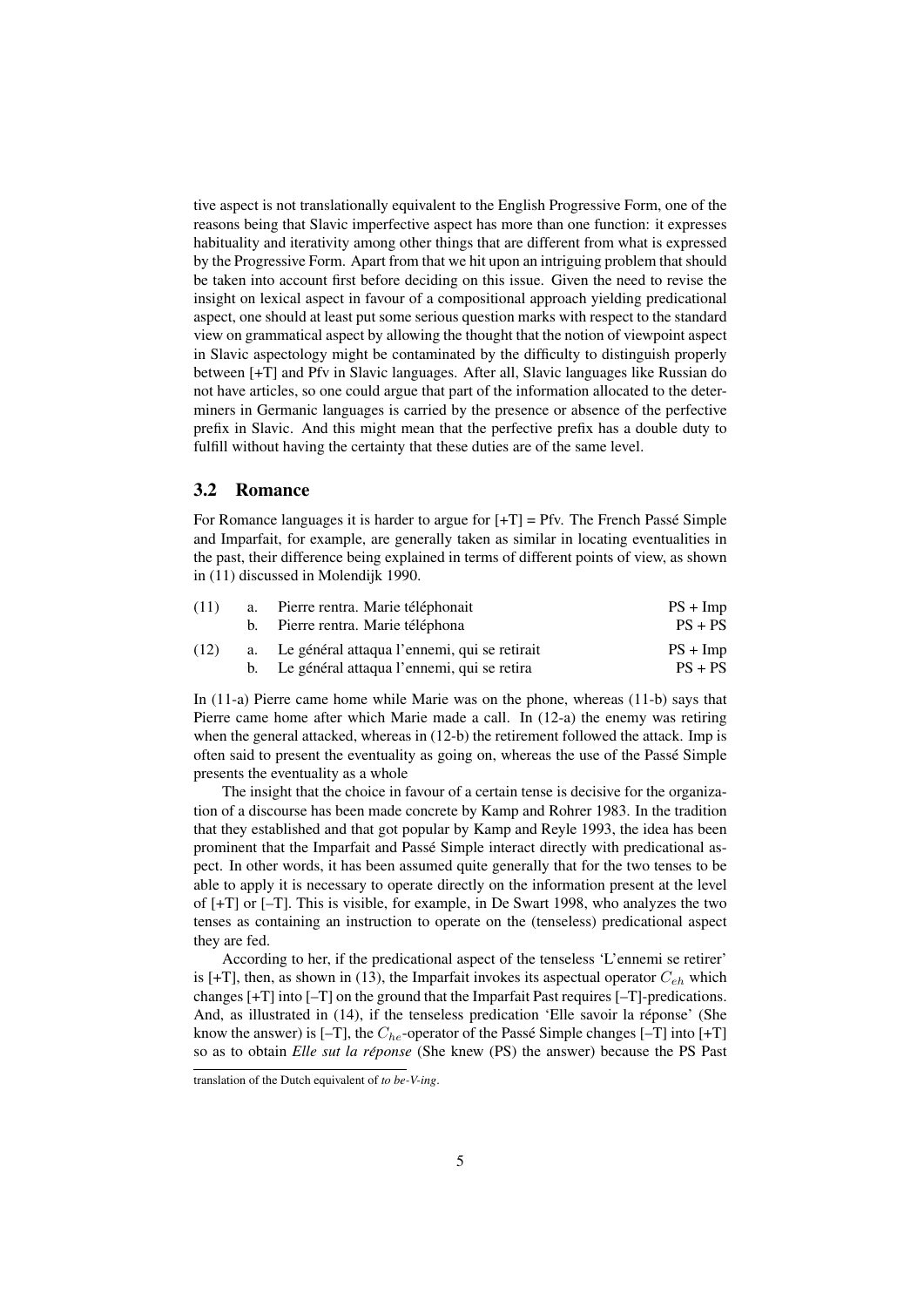tive aspect is not translationally equivalent to the English Progressive Form, one of the reasons being that Slavic imperfective aspect has more than one function: it expresses habituality and iterativity among other things that are different from what is expressed by the Progressive Form. Apart from that we hit upon an intriguing problem that should be taken into account first before deciding on this issue. Given the need to revise the insight on lexical aspect in favour of a compositional approach yielding predicational aspect, one should at least put some serious question marks with respect to the standard view on grammatical aspect by allowing the thought that the notion of viewpoint aspect in Slavic aspectology might be contaminated by the difficulty to distinguish properly between [+T] and Pfv in Slavic languages. After all, Slavic languages like Russian do not have articles, so one could argue that part of the information allocated to the determiners in Germanic languages is carried by the presence or absence of the perfective prefix in Slavic. And this might mean that the perfective prefix has a double duty to fulfill without having the certainty that these duties are of the same level.

#### 3.2 Romance

For Romance languages it is harder to argue for  $[+T] = Pf_v$ . The French Passé Simple and Imparfait, for example, are generally taken as similar in locating eventualities in the past, their difference being explained in terms of different points of view, as shown in (11) discussed in Molendijk 1990.

| (11) | a. | Pierre rentra. Marie téléphonait                | $PS + Imp$ |
|------|----|-------------------------------------------------|------------|
|      |    | Pierre rentra. Marie téléphona                  | $PS + PS$  |
| (12) |    | a. Le général attaqua l'ennemi, qui se retirait | $PS + Imp$ |
|      |    | Le général attaqua l'ennemi, qui se retira      | $PS + PS$  |

In (11-a) Pierre came home while Marie was on the phone, whereas (11-b) says that Pierre came home after which Marie made a call. In (12-a) the enemy was retiring when the general attacked, whereas in (12-b) the retirement followed the attack. Imp is often said to present the eventuality as going on, whereas the use of the Passe Simple ´ presents the eventuality as a whole

The insight that the choice in favour of a certain tense is decisive for the organization of a discourse has been made concrete by Kamp and Rohrer 1983. In the tradition that they established and that got popular by Kamp and Reyle 1993, the idea has been prominent that the Imparfait and Passe Simple interact directly with predicational as- ´ pect. In other words, it has been assumed quite generally that for the two tenses to be able to apply it is necessary to operate directly on the information present at the level of [+T] or [–T]. This is visible, for example, in De Swart 1998, who analyzes the two tenses as containing an instruction to operate on the (tenseless) predicational aspect they are fed.

According to her, if the predicational aspect of the tenseless 'L'ennemi se retirer' is [+T], then, as shown in (13), the Imparfait invokes its aspectual operator  $C_{eh}$  which changes [+T] into [–T] on the ground that the Imparfait Past requires [–T]-predications. And, as illustrated in (14), if the tenseless predication 'Elle savoir la réponse' (She know the answer) is  $[-T]$ , the  $C_{he}$ -operator of the Passé Simple changes  $[-T]$  into  $[+T]$ so as to obtain *Elle sut la reponse ´* (She knew (PS) the answer) because the PS Past

translation of the Dutch equivalent of *to be-V-ing*.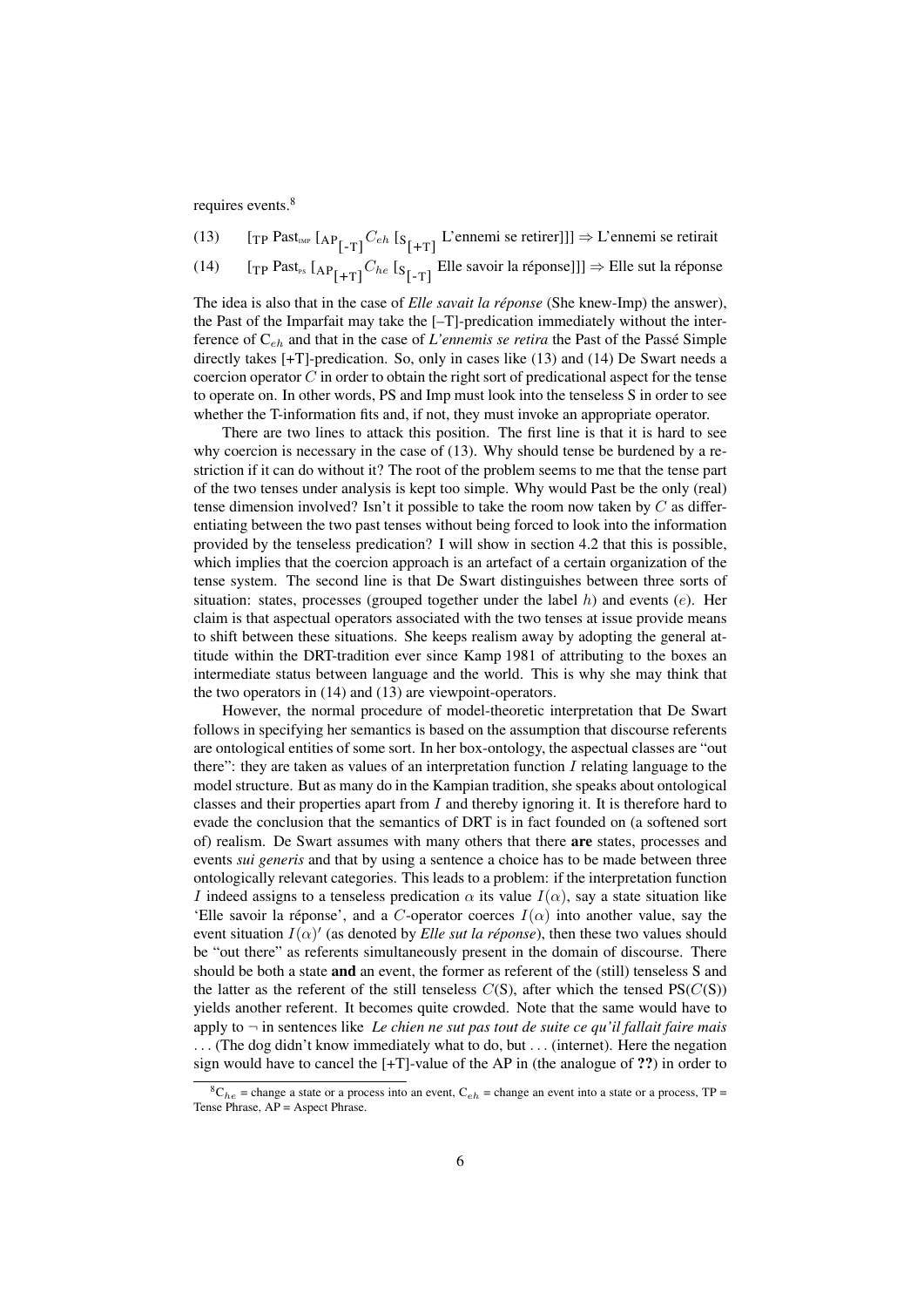requires events.<sup>8</sup>

- (13)  $\left[\text{TP} \text{ Past}_{\text{IMP}} \left[A_{\text{P}}_{\text{[-T]}} C_{eh} \left[\text{S}_{\text{[-T]}} \text{L'ennemi se retirer} \right]\right]\right] \Rightarrow \text{L'ennemi se retirait}$
- (14)  $\left[\text{TP} \text{ Past}_{rs} \left[\text{AP}_{[+T]}\right]C_{he} \left[\text{s}_{[-T]}\right] \text{Elle savoir la réponse} \right] \Rightarrow \text{Elle sut la réponse}$

The idea is also that in the case of *Elle savait la réponse* (She knew-Imp) the answer), the Past of the Imparfait may take the [–T]-predication immediately without the interference of  $C_{eh}$  and that in the case of *L'ennemis se retira* the Past of the Passé Simple directly takes [+T]-predication. So, only in cases like (13) and (14) De Swart needs a coercion operator  $C$  in order to obtain the right sort of predicational aspect for the tense to operate on. In other words, PS and Imp must look into the tenseless S in order to see whether the T-information fits and, if not, they must invoke an appropriate operator.

There are two lines to attack this position. The first line is that it is hard to see why coercion is necessary in the case of (13). Why should tense be burdened by a restriction if it can do without it? The root of the problem seems to me that the tense part of the two tenses under analysis is kept too simple. Why would Past be the only (real) tense dimension involved? Isn't it possible to take the room now taken by  $C$  as differentiating between the two past tenses without being forced to look into the information provided by the tenseless predication? I will show in section 4.2 that this is possible, which implies that the coercion approach is an artefact of a certain organization of the tense system. The second line is that De Swart distinguishes between three sorts of situation: states, processes (grouped together under the label  $h$ ) and events  $(e)$ . Her claim is that aspectual operators associated with the two tenses at issue provide means to shift between these situations. She keeps realism away by adopting the general attitude within the DRT-tradition ever since Kamp 1981 of attributing to the boxes an intermediate status between language and the world. This is why she may think that the two operators in (14) and (13) are viewpoint-operators.

However, the normal procedure of model-theoretic interpretation that De Swart follows in specifying her semantics is based on the assumption that discourse referents are ontological entities of some sort. In her box-ontology, the aspectual classes are "out there": they are taken as values of an interpretation function  $I$  relating language to the model structure. But as many do in the Kampian tradition, she speaks about ontological classes and their properties apart from  $I$  and thereby ignoring it. It is therefore hard to evade the conclusion that the semantics of DRT is in fact founded on (a softened sort of) realism. De Swart assumes with many others that there are states, processes and events *sui generis* and that by using a sentence a choice has to be made between three ontologically relevant categories. This leads to a problem: if the interpretation function I indeed assigns to a tenseless predication  $\alpha$  its value  $I(\alpha)$ , say a state situation like 'Elle savoir la réponse', and a C-operator coerces  $I(\alpha)$  into another value, say the event situation  $I(\alpha)'$  (as denoted by *Elle sut la réponse*), then these two values should be "out there" as referents simultaneously present in the domain of discourse. There should be both a state and an event, the former as referent of the (still) tenseless S and the latter as the referent of the still tenseless  $C(S)$ , after which the tensed  $PS(C(S))$ yields another referent. It becomes quite crowded. Note that the same would have to apply to ¬ in sentences like *Le chien ne sut pas tout de suite ce qu'il fallait faire mais* . . . (The dog didn't know immediately what to do, but . . . (internet). Here the negation sign would have to cancel the  $[+T]$ -value of the AP in (the analogue of ??) in order to

 ${}^8C_{he}$  = change a state or a process into an event,  $C_{eh}$  = change an event into a state or a process, TP = Tense Phrase, AP = Aspect Phrase.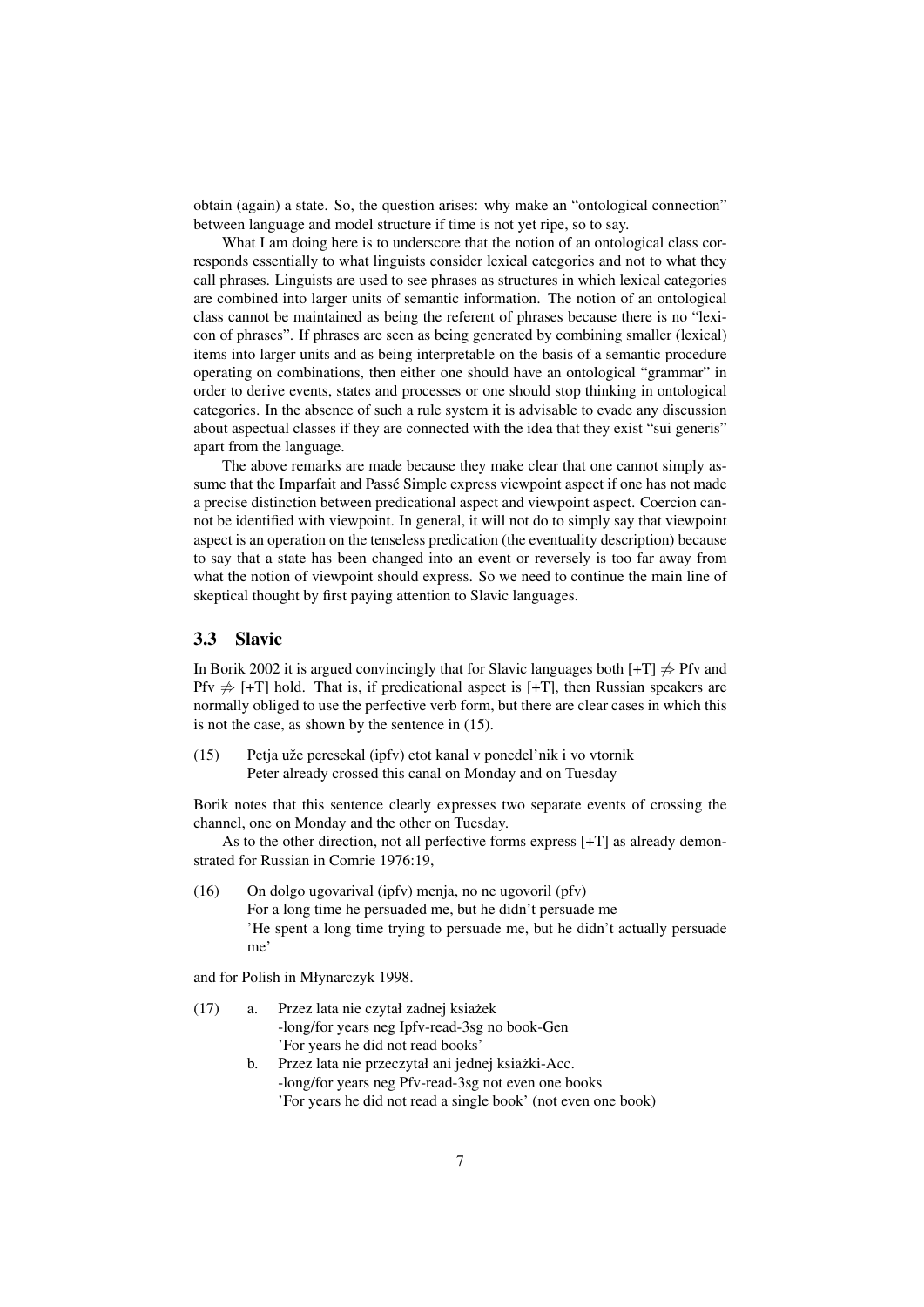obtain (again) a state. So, the question arises: why make an "ontological connection" between language and model structure if time is not yet ripe, so to say.

What I am doing here is to underscore that the notion of an ontological class corresponds essentially to what linguists consider lexical categories and not to what they call phrases. Linguists are used to see phrases as structures in which lexical categories are combined into larger units of semantic information. The notion of an ontological class cannot be maintained as being the referent of phrases because there is no "lexicon of phrases". If phrases are seen as being generated by combining smaller (lexical) items into larger units and as being interpretable on the basis of a semantic procedure operating on combinations, then either one should have an ontological "grammar" in order to derive events, states and processes or one should stop thinking in ontological categories. In the absence of such a rule system it is advisable to evade any discussion about aspectual classes if they are connected with the idea that they exist "sui generis" apart from the language.

The above remarks are made because they make clear that one cannot simply assume that the Imparfait and Passé Simple express viewpoint aspect if one has not made a precise distinction between predicational aspect and viewpoint aspect. Coercion cannot be identified with viewpoint. In general, it will not do to simply say that viewpoint aspect is an operation on the tenseless predication (the eventuality description) because to say that a state has been changed into an event or reversely is too far away from what the notion of viewpoint should express. So we need to continue the main line of skeptical thought by first paying attention to Slavic languages.

## 3.3 Slavic

In Borik 2002 it is argued convincingly that for Slavic languages both  $[+T] \neq \text{Pfv}$  and Pfv  $\neq$  [+T] hold. That is, if predicational aspect is [+T], then Russian speakers are normally obliged to use the perfective verb form, but there are clear cases in which this is not the case, as shown by the sentence in (15).

(15) Petja uže peresekal (ipfv) etot kanal v ponedel'nik i vo vtornik Peter already crossed this canal on Monday and on Tuesday

Borik notes that this sentence clearly expresses two separate events of crossing the channel, one on Monday and the other on Tuesday.

As to the other direction, not all perfective forms express [+T] as already demonstrated for Russian in Comrie 1976:19,

(16) On dolgo ugovarival (ipfv) menja, no ne ugovoril (pfv) For a long time he persuaded me, but he didn't persuade me 'He spent a long time trying to persuade me, but he didn't actually persuade me'

and for Polish in Młynarczyk 1998.

- (17) a. Przez lata nie czytał zadnej ksiazek ˙ -long/for years neg Ipfv-read-3sg no book-Gen 'For years he did not read books'
	- b. Przez lata nie przeczytał ani jednej ksiażki-Acc. -long/for years neg Pfv-read-3sg not even one books 'For years he did not read a single book' (not even one book)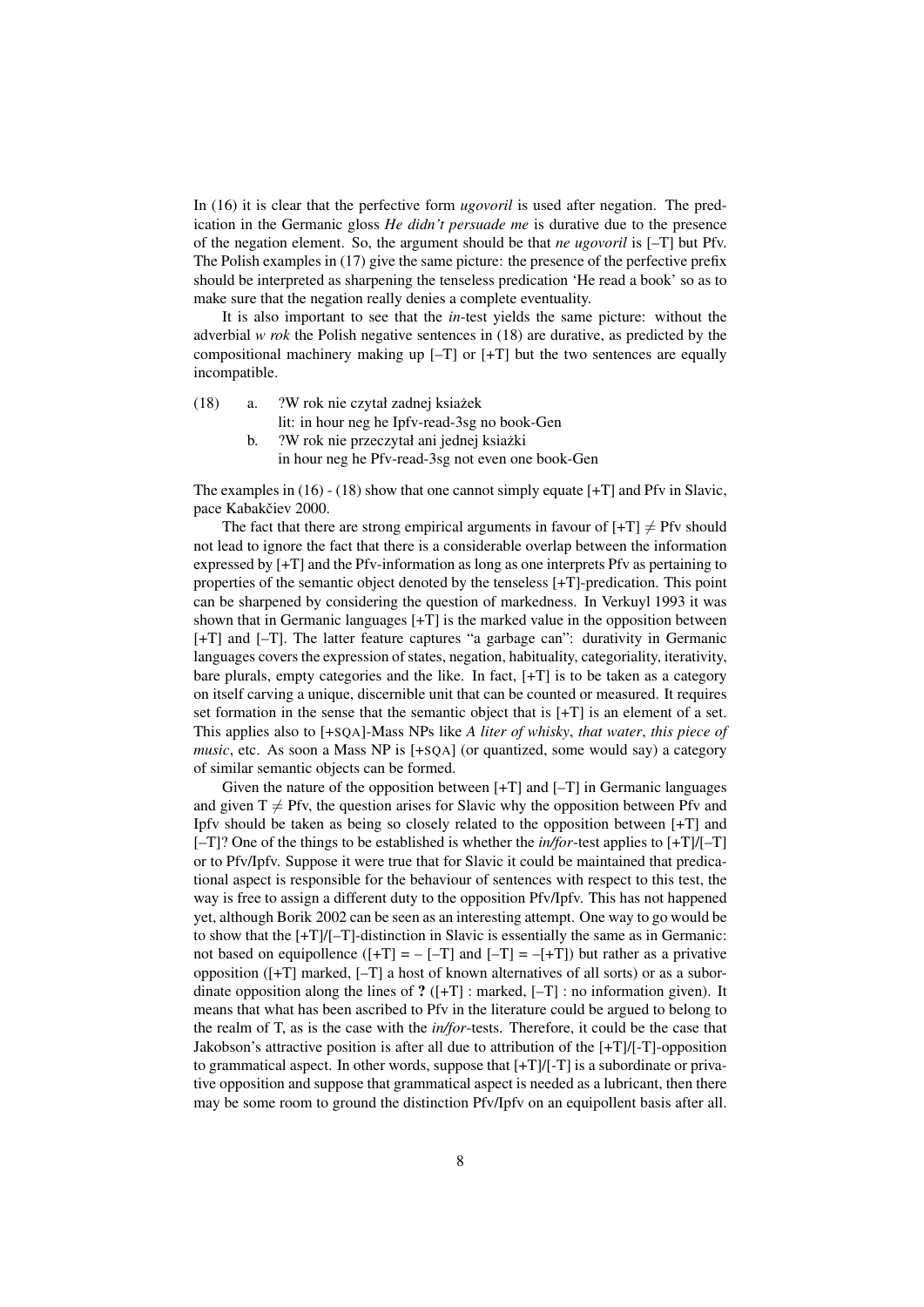In (16) it is clear that the perfective form *ugovoril* is used after negation. The predication in the Germanic gloss *He didn't persuade me* is durative due to the presence of the negation element. So, the argument should be that *ne ugovoril* is [–T] but Pfv. The Polish examples in (17) give the same picture: the presence of the perfective prefix should be interpreted as sharpening the tenseless predication 'He read a book' so as to make sure that the negation really denies a complete eventuality.

It is also important to see that the *in*-test yields the same picture: without the adverbial *w rok* the Polish negative sentences in (18) are durative, as predicted by the compositional machinery making up [–T] or [+T] but the two sentences are equally incompatible.

- (18) a. ?W rok nie czytał zadnej ksiazek ˙
	- lit: in hour neg he Ipfv-read-3sg no book-Gen
	- b. ?W rok nie przeczytał ani jednej ksiażki in hour neg he Pfv-read-3sg not even one book-Gen

The examples in (16) - (18) show that one cannot simply equate [+T] and Pfv in Slavic, pace Kabakčiev 2000.

The fact that there are strong empirical arguments in favour of  $[+T] \neq$  Pfv should not lead to ignore the fact that there is a considerable overlap between the information expressed by [+T] and the Pfv-information as long as one interprets Pfv as pertaining to properties of the semantic object denoted by the tenseless [+T]-predication. This point can be sharpened by considering the question of markedness. In Verkuyl 1993 it was shown that in Germanic languages  $[+T]$  is the marked value in the opposition between [+T] and [–T]. The latter feature captures "a garbage can": durativity in Germanic languages covers the expression of states, negation, habituality, categoriality, iterativity, bare plurals, empty categories and the like. In fact, [+T] is to be taken as a category on itself carving a unique, discernible unit that can be counted or measured. It requires set formation in the sense that the semantic object that is [+T] is an element of a set. This applies also to [+SQA]-Mass NPs like *A liter of whisky*, *that water*, *this piece of music*, etc. As soon a Mass NP is [+SQA] (or quantized, some would say) a category of similar semantic objects can be formed.

Given the nature of the opposition between [+T] and [–T] in Germanic languages and given  $T \neq Pf$ v, the question arises for Slavic why the opposition between Pfv and Ipfv should be taken as being so closely related to the opposition between [+T] and [–T]? One of the things to be established is whether the *in/for*-test applies to [+T]/[–T] or to Pfv/Ipfv. Suppose it were true that for Slavic it could be maintained that predicational aspect is responsible for the behaviour of sentences with respect to this test, the way is free to assign a different duty to the opposition Pfv/Ipfv. This has not happened yet, although Borik 2002 can be seen as an interesting attempt. One way to go would be to show that the  $[+T]/[-T]$ -distinction in Slavic is essentially the same as in Germanic: not based on equipollence  $([-T] = -[-T]$  and  $[-T] = -[+T]$ ) but rather as a privative opposition ([+T] marked, [–T] a host of known alternatives of all sorts) or as a subordinate opposition along the lines of  $? (+T)$  : marked,  $[-T]$  : no information given). It means that what has been ascribed to Pfv in the literature could be argued to belong to the realm of T, as is the case with the *in/for*-tests. Therefore, it could be the case that Jakobson's attractive position is after all due to attribution of the [+T]/[-T]-opposition to grammatical aspect. In other words, suppose that  $[+T]/[-T]$  is a subordinate or privative opposition and suppose that grammatical aspect is needed as a lubricant, then there may be some room to ground the distinction Pfv/Ipfv on an equipollent basis after all.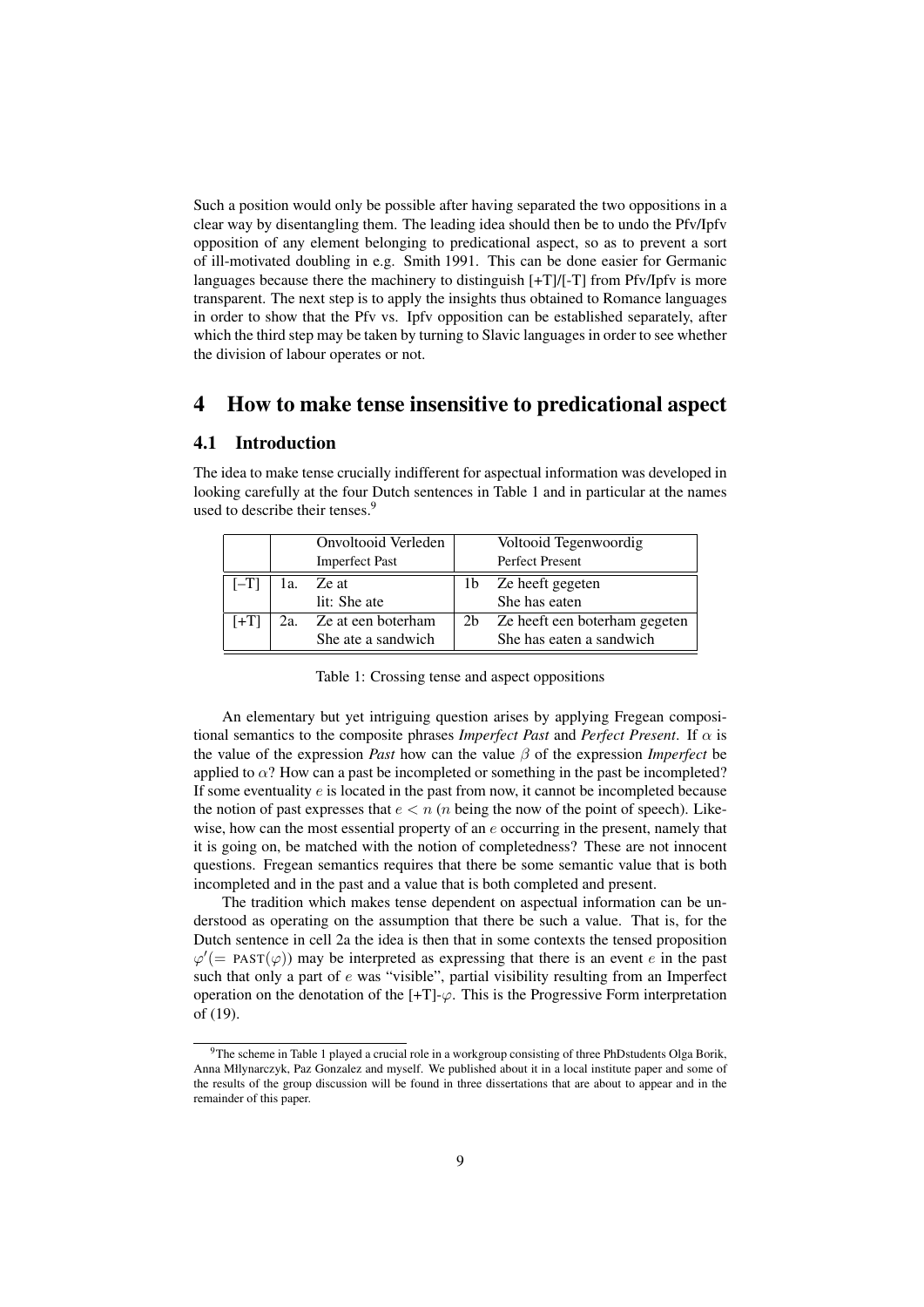Such a position would only be possible after having separated the two oppositions in a clear way by disentangling them. The leading idea should then be to undo the Pfv/Ipfv opposition of any element belonging to predicational aspect, so as to prevent a sort of ill-motivated doubling in e.g. Smith 1991. This can be done easier for Germanic languages because there the machinery to distinguish [+T]/[-T] from Pfv/Ipfv is more transparent. The next step is to apply the insights thus obtained to Romance languages in order to show that the Pfv vs. Ipfv opposition can be established separately, after which the third step may be taken by turning to Slavic languages in order to see whether the division of labour operates or not.

## 4 How to make tense insensitive to predicational aspect

### 4.1 Introduction

|  | ed to describe their tenses. <sup>9</sup> |                       |
|--|-------------------------------------------|-----------------------|
|  | Onvoltooid Verleden                       | Voltooid Tegenwoordig |
|  | <b>Imperfect Past</b>                     | Perfect Present       |
|  | la. Ze at                                 | 1b Ze heeft gegeten   |

lit: She ate She has eaten  $[+T]$  2a. Ze at een boterham 2b Ze heeft een boterham gegeten

The idea to make tense crucially indifferent for aspectual information was developed in looking carefully at the four Dutch sentences in Table 1 and in particular at the names used to describe their tenses.<sup>9</sup>

Table 1: Crossing tense and aspect oppositions

She ate a sandwich She has eaten a sandwich

An elementary but yet intriguing question arises by applying Fregean compositional semantics to the composite phrases *Imperfect Past* and *Perfect Present*. If  $\alpha$  is the value of the expression *Past* how can the value β of the expression *Imperfect* be applied to  $\alpha$ ? How can a past be incompleted or something in the past be incompleted? If some eventuality e is located in the past from now, it cannot be incompleted because the notion of past expresses that  $e < n$  (*n* being the now of the point of speech). Likewise, how can the most essential property of an  $e$  occurring in the present, namely that it is going on, be matched with the notion of completedness? These are not innocent questions. Fregean semantics requires that there be some semantic value that is both incompleted and in the past and a value that is both completed and present.

The tradition which makes tense dependent on aspectual information can be understood as operating on the assumption that there be such a value. That is, for the Dutch sentence in cell 2a the idea is then that in some contexts the tensed proposition  $\varphi'$  (= PAST( $\varphi$ )) may be interpreted as expressing that there is an event e in the past such that only a part of  $e$  was "visible", partial visibility resulting from an Imperfect operation on the denotation of the  $[+T]$ - $\varphi$ . This is the Progressive Form interpretation of (19).

<sup>&</sup>lt;sup>9</sup>The scheme in Table 1 played a crucial role in a workgroup consisting of three PhDstudents Olga Borik, Anna Młlynarczyk, Paz Gonzalez and myself. We published about it in a local institute paper and some of the results of the group discussion will be found in three dissertations that are about to appear and in the remainder of this paper.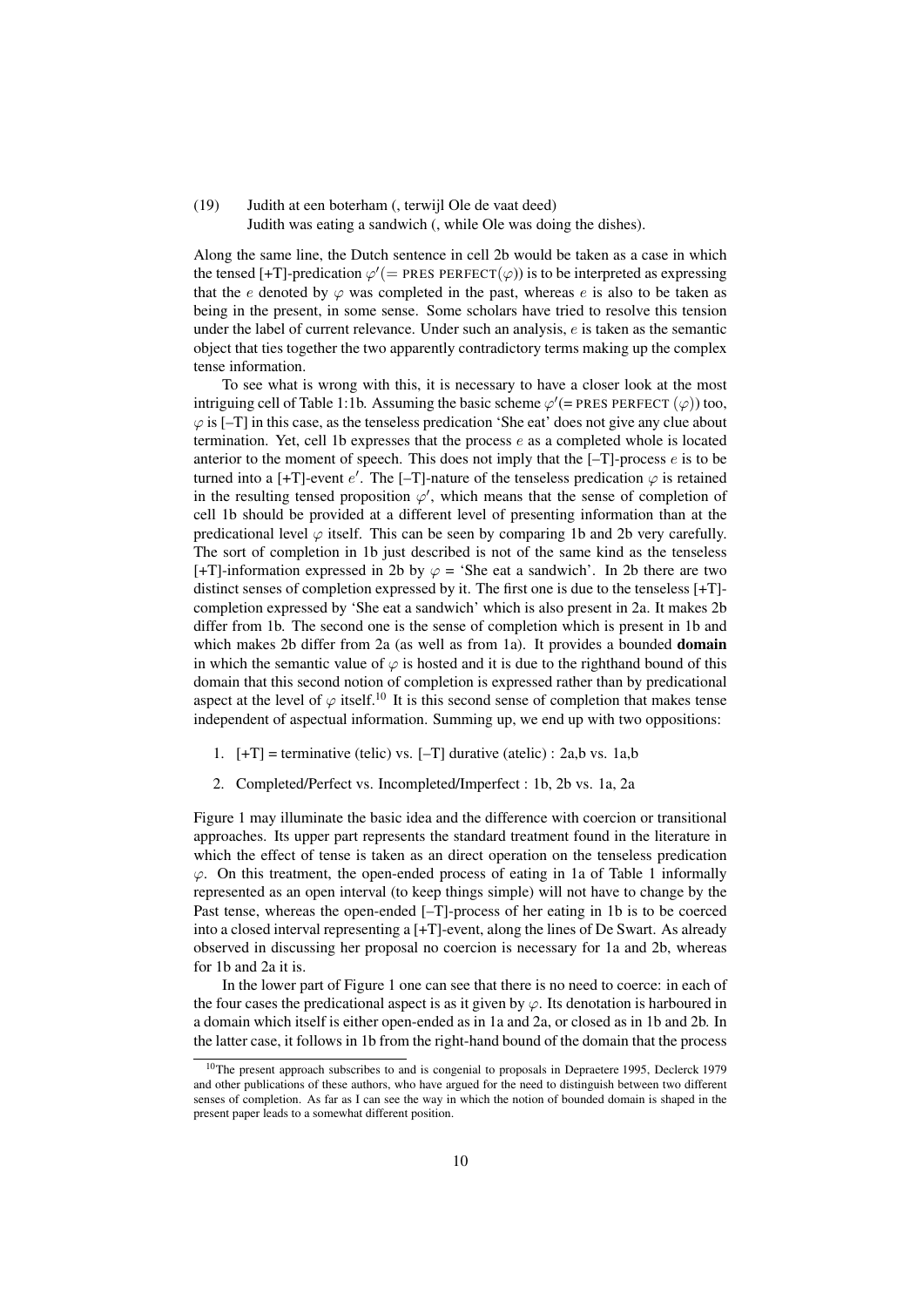#### (19) Judith at een boterham (, terwijl Ole de vaat deed) Judith was eating a sandwich (, while Ole was doing the dishes).

Along the same line, the Dutch sentence in cell 2b would be taken as a case in which the tensed [+T]-predication  $\varphi'$  (= PRES PERFECT( $\varphi$ )) is to be interpreted as expressing that the e denoted by  $\varphi$  was completed in the past, whereas e is also to be taken as being in the present, in some sense. Some scholars have tried to resolve this tension under the label of current relevance. Under such an analysis,  $e$  is taken as the semantic object that ties together the two apparently contradictory terms making up the complex tense information.

To see what is wrong with this, it is necessary to have a closer look at the most intriguing cell of Table 1:1b. Assuming the basic scheme  $\varphi'$  (= PRES PERFECT  $(\varphi)$ ) too,  $\varphi$  is [-T] in this case, as the tenseless predication 'She eat' does not give any clue about termination. Yet, cell 1b expresses that the process  $e$  as a completed whole is located anterior to the moment of speech. This does not imply that the  $[-T]$ -process e is to be turned into a [+T]-event e'. The [-T]-nature of the tenseless predication  $\varphi$  is retained in the resulting tensed proposition  $\varphi'$ , which means that the sense of completion of cell 1b should be provided at a different level of presenting information than at the predicational level  $\varphi$  itself. This can be seen by comparing 1b and 2b very carefully. The sort of completion in 1b just described is not of the same kind as the tenseless [+T]-information expressed in 2b by  $\varphi$  = 'She eat a sandwich'. In 2b there are two distinct senses of completion expressed by it. The first one is due to the tenseless [+T] completion expressed by 'She eat a sandwich' which is also present in 2a. It makes 2b differ from 1b. The second one is the sense of completion which is present in 1b and which makes 2b differ from 2a (as well as from 1a). It provides a bounded **domain** in which the semantic value of  $\varphi$  is hosted and it is due to the righthand bound of this domain that this second notion of completion is expressed rather than by predicational aspect at the level of  $\varphi$  itself.<sup>10</sup> It is this second sense of completion that makes tense independent of aspectual information. Summing up, we end up with two oppositions:

- 1.  $[+T]$  = terminative (telic) vs.  $[-T]$  durative (atelic) : 2a,b vs. 1a,b
- 2. Completed/Perfect vs. Incompleted/Imperfect : 1b, 2b vs. 1a, 2a

Figure 1 may illuminate the basic idea and the difference with coercion or transitional approaches. Its upper part represents the standard treatment found in the literature in which the effect of tense is taken as an direct operation on the tenseless predication  $\varphi$ . On this treatment, the open-ended process of eating in 1a of Table 1 informally represented as an open interval (to keep things simple) will not have to change by the Past tense, whereas the open-ended [–T]-process of her eating in 1b is to be coerced into a closed interval representing a [+T]-event, along the lines of De Swart. As already observed in discussing her proposal no coercion is necessary for 1a and 2b, whereas for 1b and 2a it is.

In the lower part of Figure 1 one can see that there is no need to coerce: in each of the four cases the predicational aspect is as it given by  $\varphi$ . Its denotation is harboured in a domain which itself is either open-ended as in 1a and 2a, or closed as in 1b and 2b. In the latter case, it follows in 1b from the right-hand bound of the domain that the process

<sup>&</sup>lt;sup>10</sup>The present approach subscribes to and is congenial to proposals in Depraetere 1995, Declerck 1979 and other publications of these authors, who have argued for the need to distinguish between two different senses of completion. As far as I can see the way in which the notion of bounded domain is shaped in the present paper leads to a somewhat different position.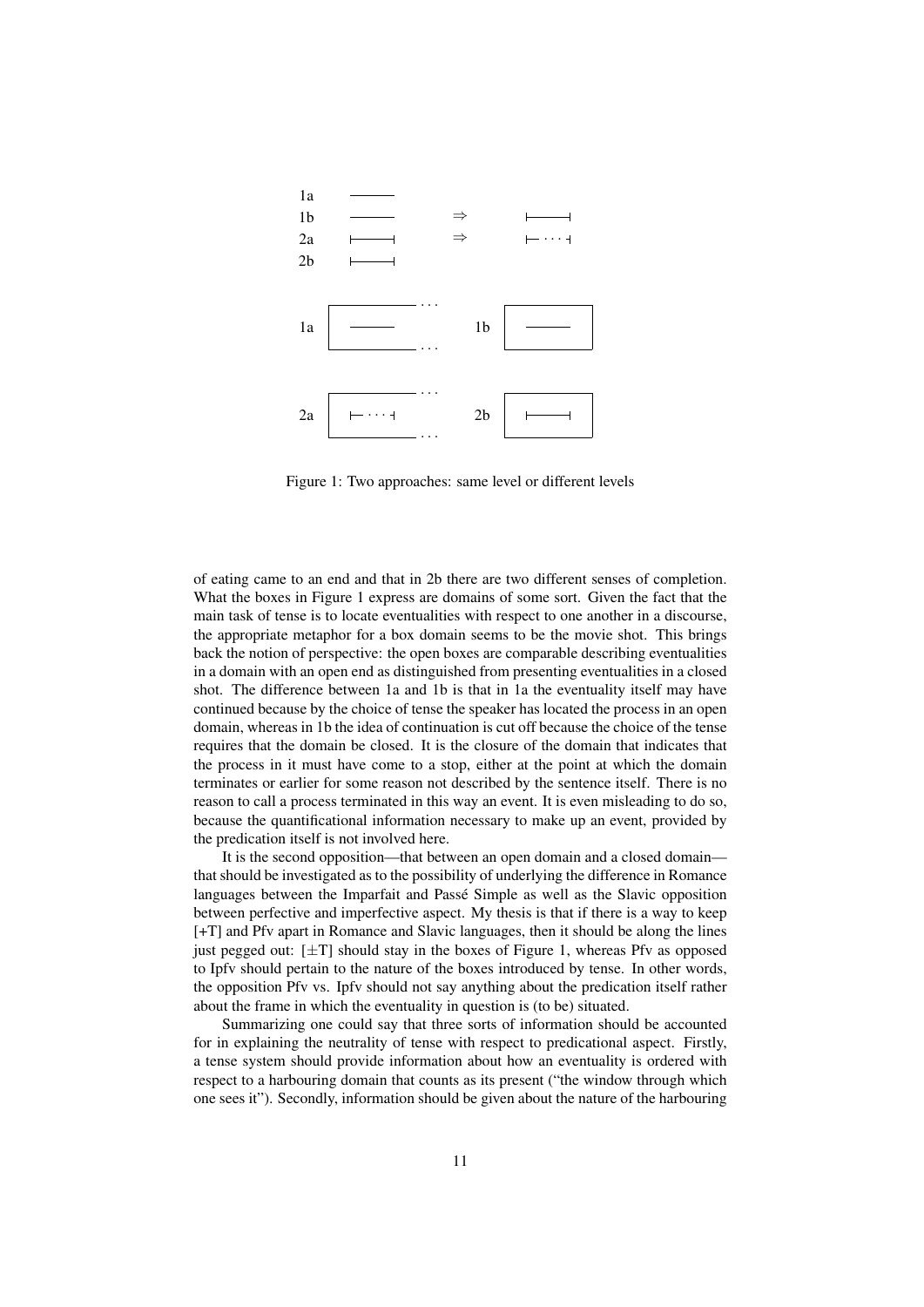

Figure 1: Two approaches: same level or different levels

of eating came to an end and that in 2b there are two different senses of completion. What the boxes in Figure 1 express are domains of some sort. Given the fact that the main task of tense is to locate eventualities with respect to one another in a discourse, the appropriate metaphor for a box domain seems to be the movie shot. This brings back the notion of perspective: the open boxes are comparable describing eventualities in a domain with an open end as distinguished from presenting eventualities in a closed shot. The difference between 1a and 1b is that in 1a the eventuality itself may have continued because by the choice of tense the speaker has located the process in an open domain, whereas in 1b the idea of continuation is cut off because the choice of the tense requires that the domain be closed. It is the closure of the domain that indicates that the process in it must have come to a stop, either at the point at which the domain terminates or earlier for some reason not described by the sentence itself. There is no reason to call a process terminated in this way an event. It is even misleading to do so, because the quantificational information necessary to make up an event, provided by the predication itself is not involved here.

It is the second opposition—that between an open domain and a closed domain that should be investigated as to the possibility of underlying the difference in Romance languages between the Imparfait and Passé Simple as well as the Slavic opposition between perfective and imperfective aspect. My thesis is that if there is a way to keep [+T] and Pfv apart in Romance and Slavic languages, then it should be along the lines just pegged out:  $[\pm T]$  should stay in the boxes of Figure 1, whereas Pfv as opposed to Ipfv should pertain to the nature of the boxes introduced by tense. In other words, the opposition Pfv vs. Ipfv should not say anything about the predication itself rather about the frame in which the eventuality in question is (to be) situated.

Summarizing one could say that three sorts of information should be accounted for in explaining the neutrality of tense with respect to predicational aspect. Firstly, a tense system should provide information about how an eventuality is ordered with respect to a harbouring domain that counts as its present ("the window through which one sees it"). Secondly, information should be given about the nature of the harbouring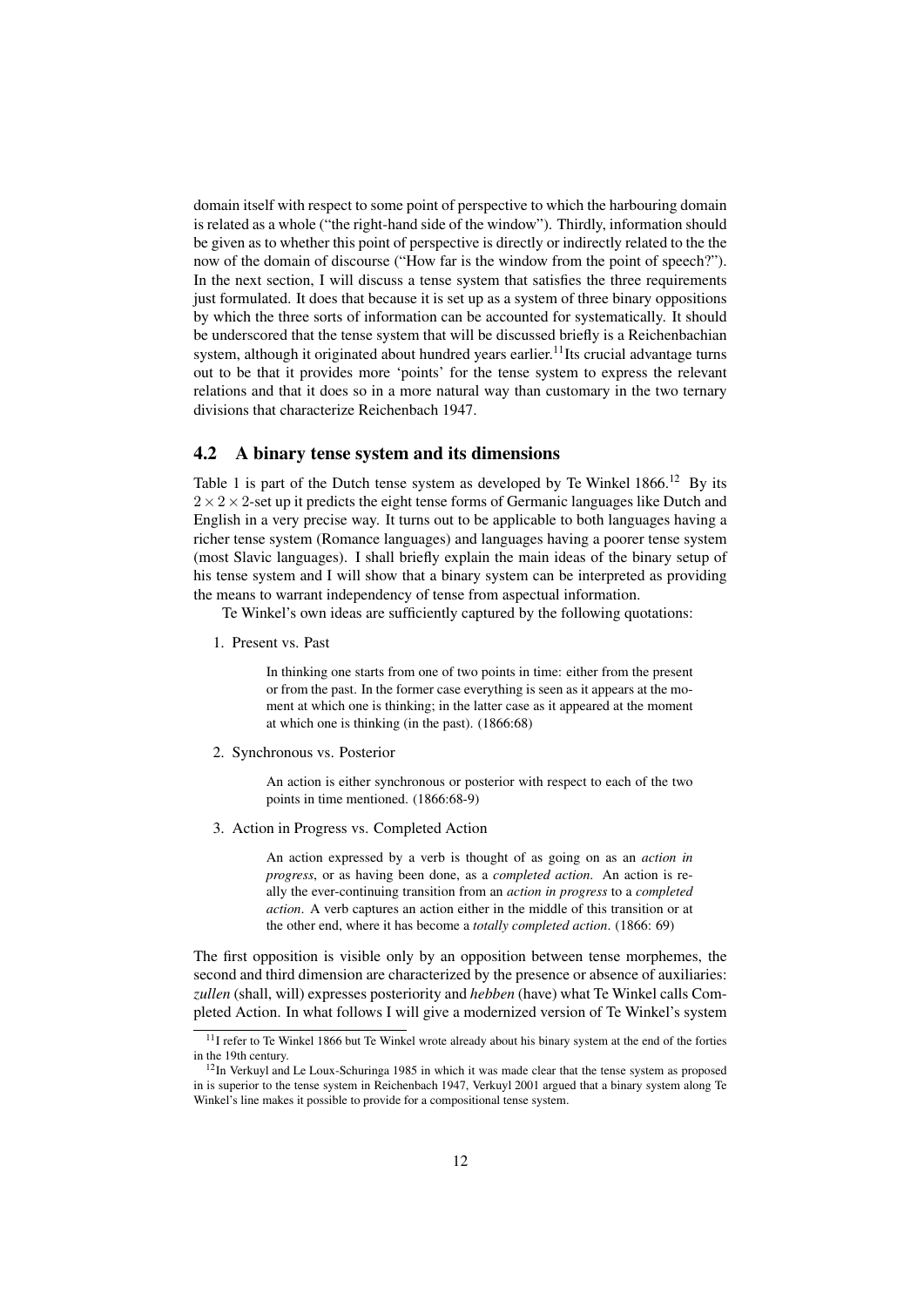domain itself with respect to some point of perspective to which the harbouring domain is related as a whole ("the right-hand side of the window"). Thirdly, information should be given as to whether this point of perspective is directly or indirectly related to the the now of the domain of discourse ("How far is the window from the point of speech?"). In the next section, I will discuss a tense system that satisfies the three requirements just formulated. It does that because it is set up as a system of three binary oppositions by which the three sorts of information can be accounted for systematically. It should be underscored that the tense system that will be discussed briefly is a Reichenbachian system, although it originated about hundred years earlier.<sup>11</sup>Its crucial advantage turns out to be that it provides more 'points' for the tense system to express the relevant relations and that it does so in a more natural way than customary in the two ternary divisions that characterize Reichenbach 1947.

## 4.2 A binary tense system and its dimensions

Table 1 is part of the Dutch tense system as developed by Te Winkel  $1866$ <sup>12</sup> By its  $2 \times 2 \times 2$ -set up it predicts the eight tense forms of Germanic languages like Dutch and English in a very precise way. It turns out to be applicable to both languages having a richer tense system (Romance languages) and languages having a poorer tense system (most Slavic languages). I shall briefly explain the main ideas of the binary setup of his tense system and I will show that a binary system can be interpreted as providing the means to warrant independency of tense from aspectual information.

Te Winkel's own ideas are sufficiently captured by the following quotations:

1. Present vs. Past

In thinking one starts from one of two points in time: either from the present or from the past. In the former case everything is seen as it appears at the moment at which one is thinking; in the latter case as it appeared at the moment at which one is thinking (in the past). (1866:68)

2. Synchronous vs. Posterior

An action is either synchronous or posterior with respect to each of the two points in time mentioned. (1866:68-9)

3. Action in Progress vs. Completed Action

An action expressed by a verb is thought of as going on as an *action in progress*, or as having been done, as a *completed action*. An action is really the ever-continuing transition from an *action in progress* to a *completed action*. A verb captures an action either in the middle of this transition or at the other end, where it has become a *totally completed action*. (1866: 69)

The first opposition is visible only by an opposition between tense morphemes, the second and third dimension are characterized by the presence or absence of auxiliaries: *zullen* (shall, will) expresses posteriority and *hebben* (have) what Te Winkel calls Completed Action. In what follows I will give a modernized version of Te Winkel's system

 $11$ I refer to Te Winkel 1866 but Te Winkel wrote already about his binary system at the end of the forties in the 19th century.

<sup>&</sup>lt;sup>12</sup>In Verkuyl and Le Loux-Schuringa 1985 in which it was made clear that the tense system as proposed in is superior to the tense system in Reichenbach 1947, Verkuyl 2001 argued that a binary system along Te Winkel's line makes it possible to provide for a compositional tense system.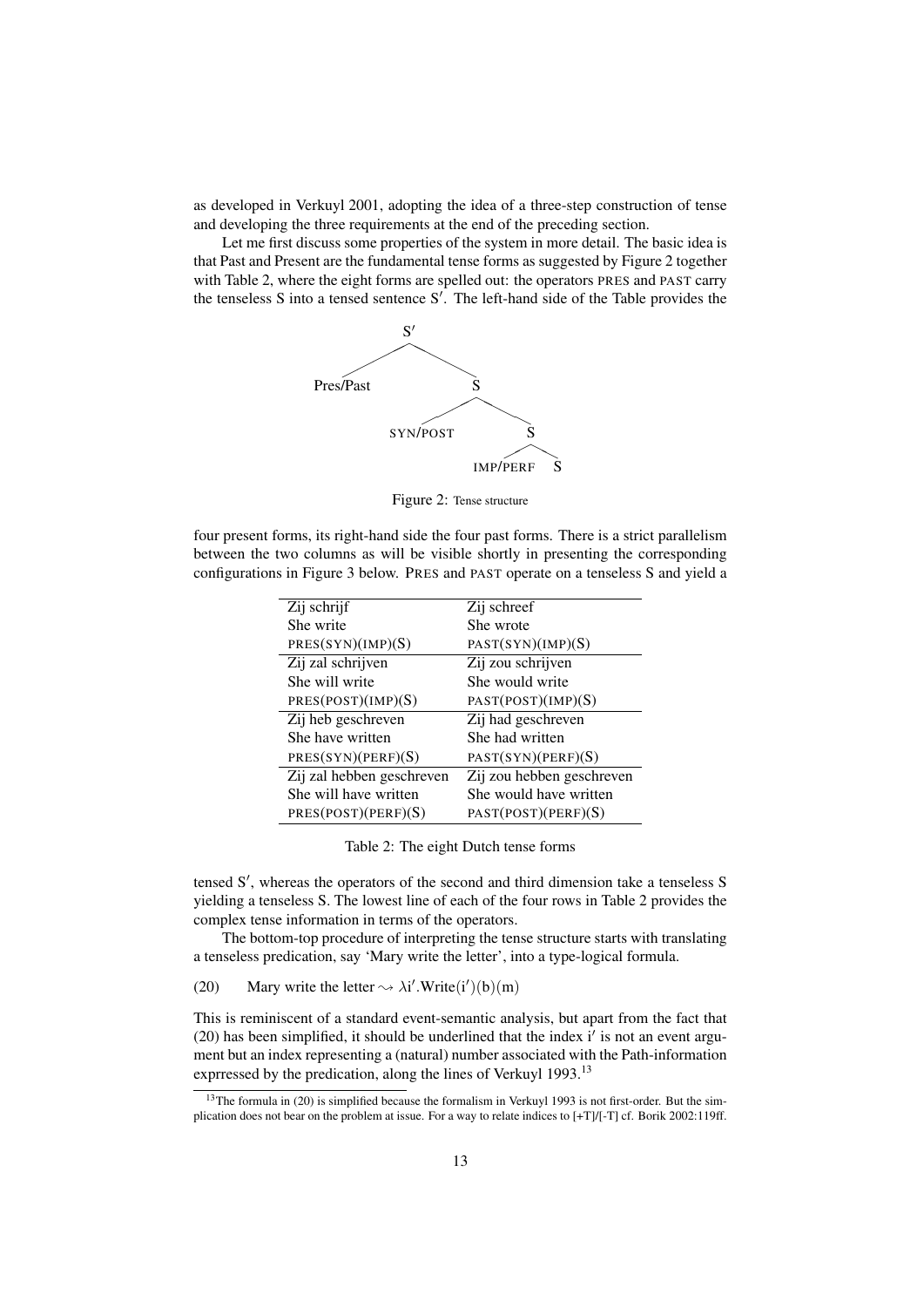as developed in Verkuyl 2001, adopting the idea of a three-step construction of tense and developing the three requirements at the end of the preceding section.

Let me first discuss some properties of the system in more detail. The basic idea is that Past and Present are the fundamental tense forms as suggested by Figure 2 together with Table 2, where the eight forms are spelled out: the operators PRES and PAST carry the tenseless S into a tensed sentence S'. The left-hand side of the Table provides the



Figure 2: Tense structure

four present forms, its right-hand side the four past forms. There is a strict parallelism between the two columns as will be visible shortly in presenting the corresponding configurations in Figure 3 below. PRES and PAST operate on a tenseless S and yield a

| Zij schrijf               | Zij schreef               |
|---------------------------|---------------------------|
| She write                 | She wrote                 |
| PRES(SYN)(IMP)(S)         | PAST(SYN)(IMP)(S)         |
| Zij zal schrijven         | Zij zou schrijven         |
| She will write            | She would write           |
| PRES(POST)(IMP)(S)        | PAST(POST)(IMP)(S)        |
| Zij heb geschreven        | Zij had geschreven        |
| She have written          | She had written           |
| PRES(SYN)(PERF)(S)        | PAST(SYN)(PERF)(S)        |
| Zij zal hebben geschreven | Zij zou hebben geschreven |
| She will have written     | She would have written    |
| PRES(POST)(PERF)(S)       | PAST(POST)(PERF)(S)       |

Table 2: The eight Dutch tense forms

tensed S', whereas the operators of the second and third dimension take a tenseless S yielding a tenseless S. The lowest line of each of the four rows in Table 2 provides the complex tense information in terms of the operators.

The bottom-top procedure of interpreting the tense structure starts with translating a tenseless predication, say 'Mary write the letter', into a type-logical formula.

(20) Mary write the letter  $\sim \lambda i'$ . Write  $(i')(b)(m)$ 

This is reminiscent of a standard event-semantic analysis, but apart from the fact that  $(20)$  has been simplified, it should be underlined that the index  $i'$  is not an event argument but an index representing a (natural) number associated with the Path-information exprressed by the predication, along the lines of Verkuyl 1993.<sup>13</sup>

<sup>&</sup>lt;sup>13</sup>The formula in (20) is simplified because the formalism in Verkuyl 1993 is not first-order. But the simplication does not bear on the problem at issue. For a way to relate indices to [+T]/[-T] cf. Borik 2002:119ff.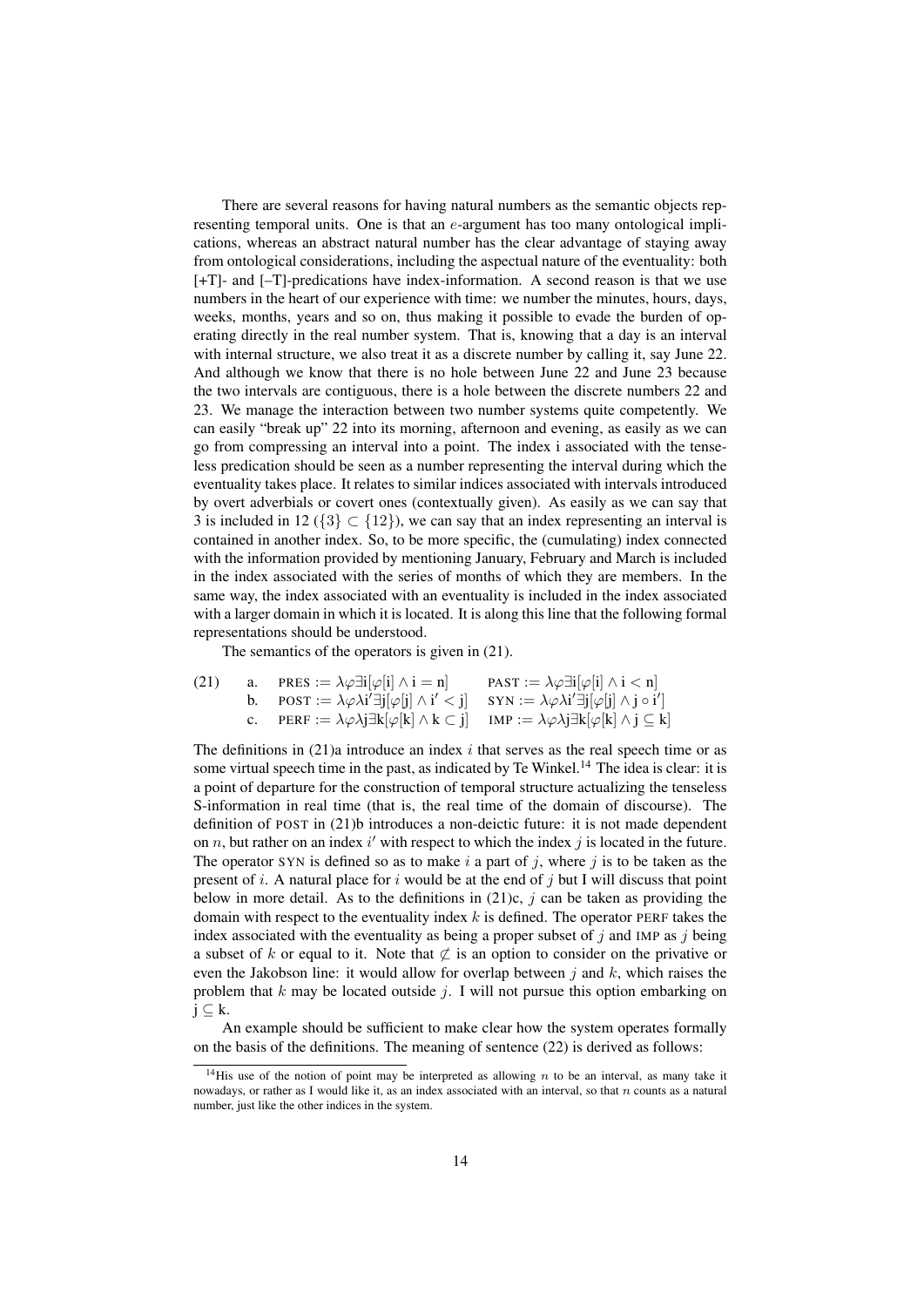There are several reasons for having natural numbers as the semantic objects representing temporal units. One is that an  $e$ -argument has too many ontological implications, whereas an abstract natural number has the clear advantage of staying away from ontological considerations, including the aspectual nature of the eventuality: both [+T]- and [–T]-predications have index-information. A second reason is that we use numbers in the heart of our experience with time: we number the minutes, hours, days, weeks, months, years and so on, thus making it possible to evade the burden of operating directly in the real number system. That is, knowing that a day is an interval with internal structure, we also treat it as a discrete number by calling it, say June 22. And although we know that there is no hole between June 22 and June 23 because the two intervals are contiguous, there is a hole between the discrete numbers 22 and 23. We manage the interaction between two number systems quite competently. We can easily "break up" 22 into its morning, afternoon and evening, as easily as we can go from compressing an interval into a point. The index i associated with the tenseless predication should be seen as a number representing the interval during which the eventuality takes place. It relates to similar indices associated with intervals introduced by overt adverbials or covert ones (contextually given). As easily as we can say that 3 is included in 12 ( $\{3\}$  ⊂  $\{12\}$ ), we can say that an index representing an interval is contained in another index. So, to be more specific, the (cumulating) index connected with the information provided by mentioning January, February and March is included in the index associated with the series of months of which they are members. In the same way, the index associated with an eventuality is included in the index associated with a larger domain in which it is located. It is along this line that the following formal representations should be understood.

The semantics of the operators is given in (21).

(21) a. PRES := 
$$
\lambda \varphi \exists i [\varphi[i] \land i = n]
$$
 PAST :=  $\lambda \varphi \exists i [\varphi[i] \land i < n]$   
b. POST :=  $\lambda \varphi \lambda i' \exists j [\varphi[j] \land i' < j]$  SYN :=  $\lambda \varphi \lambda i' \exists j [\varphi[j] \land j \circ i']$   
c. PERF :=  $\lambda \varphi \lambda j \exists k [\varphi[k] \land k \subset j]$  IMP :=  $\lambda \varphi \lambda j \exists k [\varphi[k] \land j \subseteq k]$ 

The definitions in  $(21)a$  introduce an index i that serves as the real speech time or as some virtual speech time in the past, as indicated by Te Winkel.<sup>14</sup> The idea is clear: it is a point of departure for the construction of temporal structure actualizing the tenseless S-information in real time (that is, the real time of the domain of discourse). The definition of POST in (21)b introduces a non-deictic future: it is not made dependent on *n*, but rather on an index i' with respect to which the index j is located in the future. The operator SYN is defined so as to make i a part of j, where j is to be taken as the present of i. A natural place for i would be at the end of j but I will discuss that point below in more detail. As to the definitions in  $(21)c$ , j can be taken as providing the domain with respect to the eventuality index  $k$  is defined. The operator PERF takes the index associated with the eventuality as being a proper subset of j and IMP as j being a subset of k or equal to it. Note that  $\&var$  is an option to consider on the privative or even the Jakobson line: it would allow for overlap between  $j$  and  $k$ , which raises the problem that  $k$  may be located outside  $j$ . I will not pursue this option embarking on j ⊆ k.

An example should be sufficient to make clear how the system operates formally on the basis of the definitions. The meaning of sentence (22) is derived as follows:

<sup>&</sup>lt;sup>14</sup>His use of the notion of point may be interpreted as allowing  $n$  to be an interval, as many take it nowadays, or rather as I would like it, as an index associated with an interval, so that  $n$  counts as a natural number, just like the other indices in the system.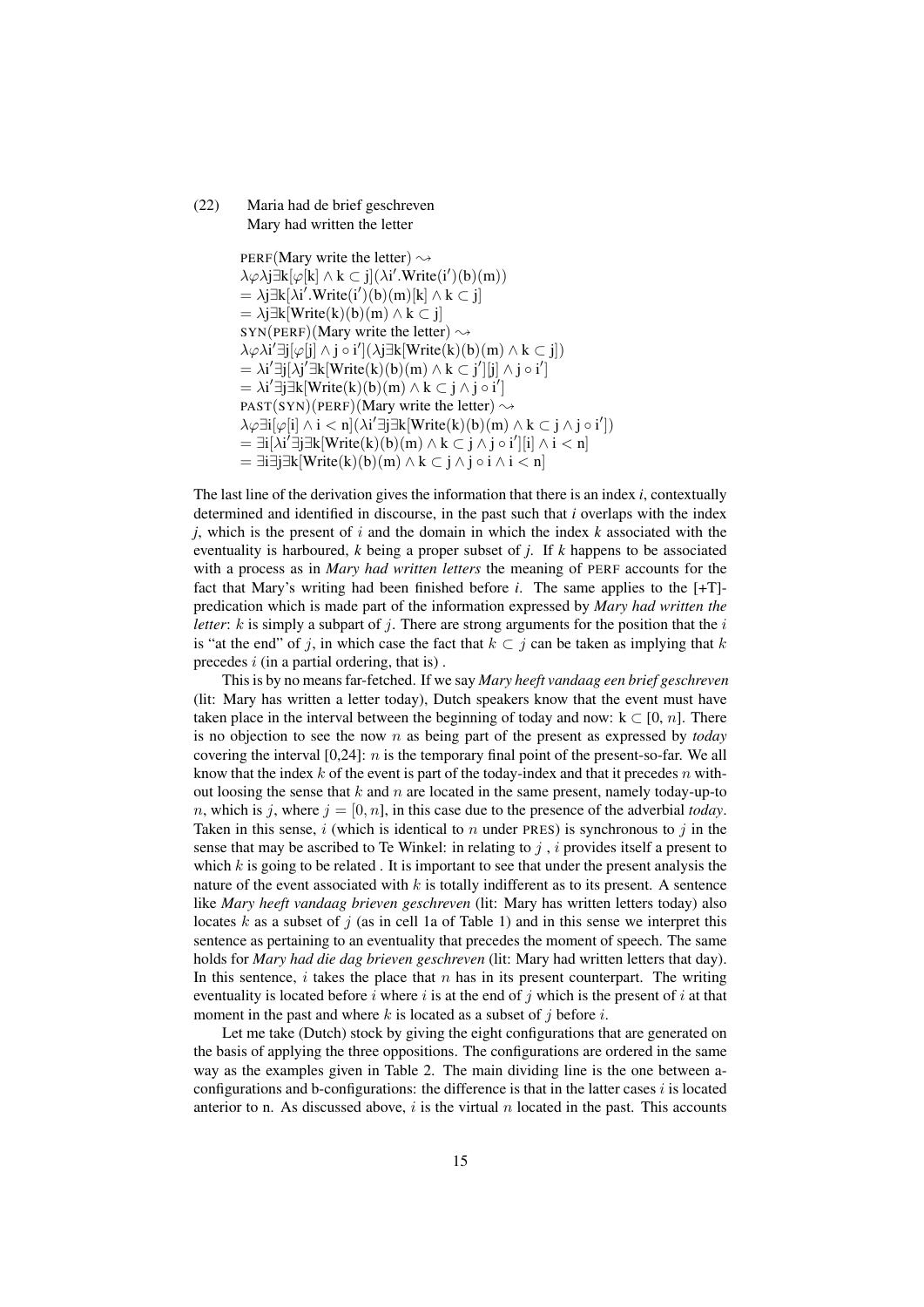#### (22) Maria had de brief geschreven Mary had written the letter

PERF(Mary write the letter)  $\rightsquigarrow$  $\lambda \varphi \lambda j \exists k [\varphi[k] \wedge k \subset j](\lambda i'.\text{Write}(i')(b)(m))$  $= \lambda j \exists k [\lambda i'.Write(i')(b)(m)[k] \wedge k \subset j]$  $= \lambda$ j $\exists k$ [Write(k)(b)(m)  $\wedge$  k  $\subset$  j] SYN(PERF)(Mary write the letter)  $\sim$  $\lambda \varphi \lambda i' \exists j [\varphi[j] \wedge j \circ i'] (\lambda j \exists k [\text{Write}(k)(b)(m) \wedge k \subset j])$  $= \lambda i' \exists j [\lambda j' \exists k [\text{Write}(k)(b)(m) \land k \subset j'][j] \land j \circ i']$  $= \lambda i' \exists j \exists k [Write(k)(b)(m) \wedge k \subset j \wedge j \circ i']$  $PAST(SYN)(PERF)(Mary write the letter) \rightarrow$  $\lambda \varphi \exists i [\varphi[i] \land i < n](\lambda i' \exists j \exists k [Write(k)(b)(m) \land k \subset j \land j \circ i'])$  $= \exists i[\lambda i' \exists j \exists k[\text{Write}(k)(b)(m) \land k \subset j \land j \circ i'] [i] \land i < n]$  $= \exists i \exists j \exists k$ [Write(k)(b)(m)  $\wedge$  k  $\subset$  j $\wedge$  j  $\circ$  i  $\wedge$  i  $\lt$  n]

The last line of the derivation gives the information that there is an index *i*, contextually determined and identified in discourse, in the past such that *i* overlaps with the index  $j$ , which is the present of  $i$  and the domain in which the index  $k$  associated with the eventuality is harboured, *k* being a proper subset of *j*. If *k* happens to be associated with a process as in *Mary had written letters* the meaning of PERF accounts for the fact that Mary's writing had been finished before *i*. The same applies to the [+T] predication which is made part of the information expressed by *Mary had written the letter*:  $k$  is simply a subpart of  $j$ . There are strong arguments for the position that the  $i$ is "at the end" of j, in which case the fact that  $k \subset j$  can be taken as implying that k precedes  $i$  (in a partial ordering, that is).

This is by no means far-fetched. If we say *Mary heeft vandaag een brief geschreven* (lit: Mary has written a letter today), Dutch speakers know that the event must have taken place in the interval between the beginning of today and now:  $k \subset [0, n]$ . There is no objection to see the now n as being part of the present as expressed by *today* covering the interval  $[0,24]$ :  $n$  is the temporary final point of the present-so-far. We all know that the index  $k$  of the event is part of the today-index and that it precedes n without loosing the sense that k and n are located in the same present, namely today-up-to n, which is j, where  $j = [0, n]$ , in this case due to the presence of the adverbial *today*. Taken in this sense, i (which is identical to n under PRES) is synchronous to j in the sense that may be ascribed to Te Winkel: in relating to  $j$ ,  $i$  provides itself a present to which  $k$  is going to be related. It is important to see that under the present analysis the nature of the event associated with  $k$  is totally indifferent as to its present. A sentence like *Mary heeft vandaag brieven geschreven* (lit: Mary has written letters today) also locates k as a subset of j (as in cell 1a of Table 1) and in this sense we interpret this sentence as pertaining to an eventuality that precedes the moment of speech. The same holds for *Mary had die dag brieven geschreven* (lit: Mary had written letters that day). In this sentence,  $i$  takes the place that  $n$  has in its present counterpart. The writing eventuality is located before i where i is at the end of j which is the present of i at that moment in the past and where  $k$  is located as a subset of  $i$  before  $i$ .

Let me take (Dutch) stock by giving the eight configurations that are generated on the basis of applying the three oppositions. The configurations are ordered in the same way as the examples given in Table 2. The main dividing line is the one between aconfigurations and b-configurations: the difference is that in the latter cases  $i$  is located anterior to n. As discussed above,  $i$  is the virtual  $n$  located in the past. This accounts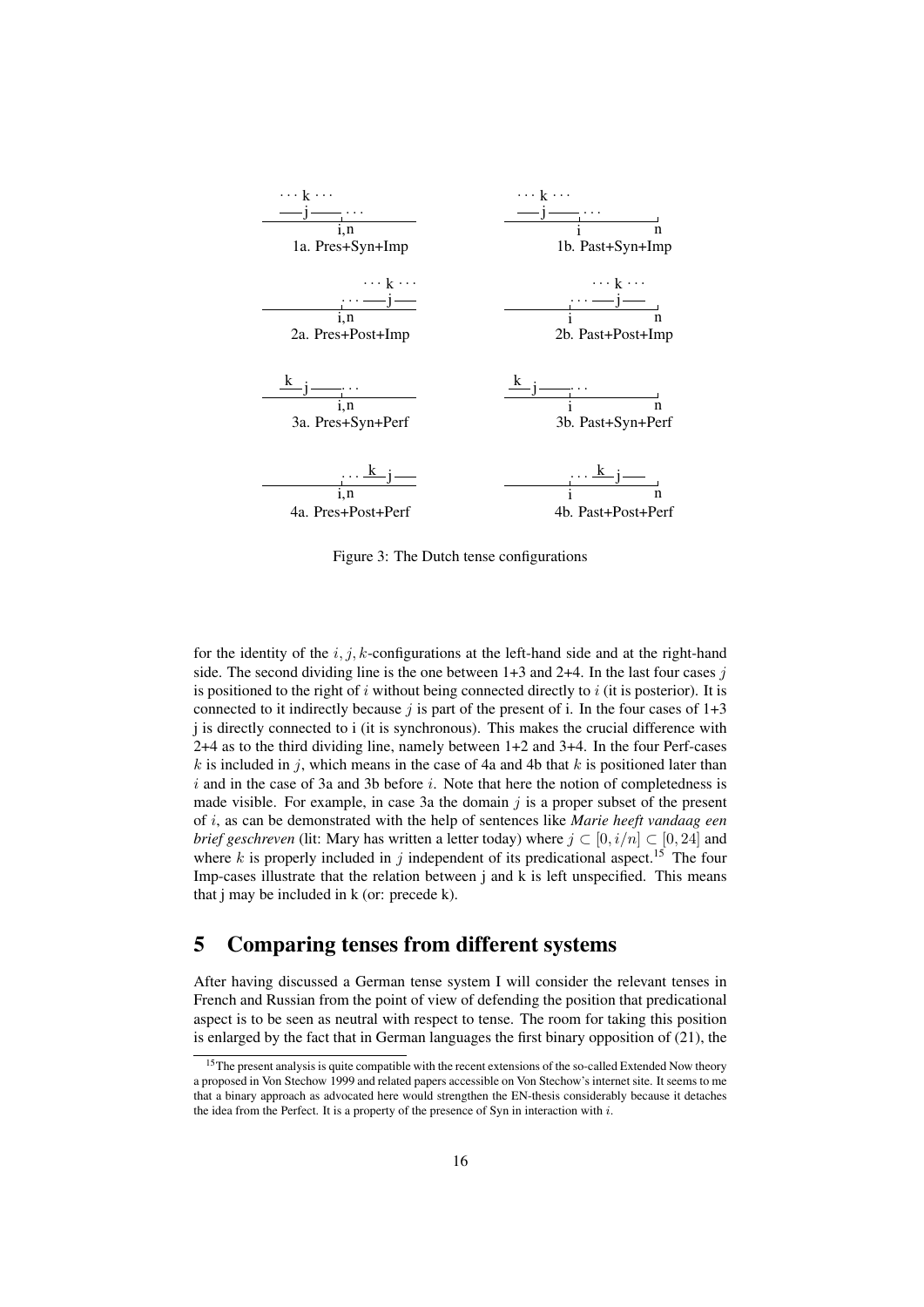

Figure 3: The Dutch tense configurations

for the identity of the  $i, j, k$ -configurations at the left-hand side and at the right-hand side. The second dividing line is the one between  $1+3$  and  $2+4$ . In the last four cases j is positioned to the right of i without being connected directly to i (it is posterior). It is connected to it indirectly because j is part of the present of i. In the four cases of  $1+3$ j is directly connected to i (it is synchronous). This makes the crucial difference with 2+4 as to the third dividing line, namely between 1+2 and 3+4. In the four Perf-cases k is included in j, which means in the case of 4a and 4b that k is positioned later than  $i$  and in the case of 3a and 3b before  $i$ . Note that here the notion of completedness is made visible. For example, in case 3a the domain  $j$  is a proper subset of the present of i, as can be demonstrated with the help of sentences like *Marie heeft vandaag een brief geschreven* (lit: Mary has written a letter today) where  $j \text{ } \textstyle \subset [0, i/n] \subset [0, 24]$  and where k is properly included in j independent of its predicational aspect.<sup>15</sup> The four Imp-cases illustrate that the relation between j and k is left unspecified. This means that i may be included in  $k$  (or: precede  $k$ ).

# 5 Comparing tenses from different systems

After having discussed a German tense system I will consider the relevant tenses in French and Russian from the point of view of defending the position that predicational aspect is to be seen as neutral with respect to tense. The room for taking this position is enlarged by the fact that in German languages the first binary opposition of (21), the

<sup>&</sup>lt;sup>15</sup>The present analysis is quite compatible with the recent extensions of the so-called Extended Now theory a proposed in Von Stechow 1999 and related papers accessible on Von Stechow's internet site. It seems to me that a binary approach as advocated here would strengthen the EN-thesis considerably because it detaches the idea from the Perfect. It is a property of the presence of Syn in interaction with i.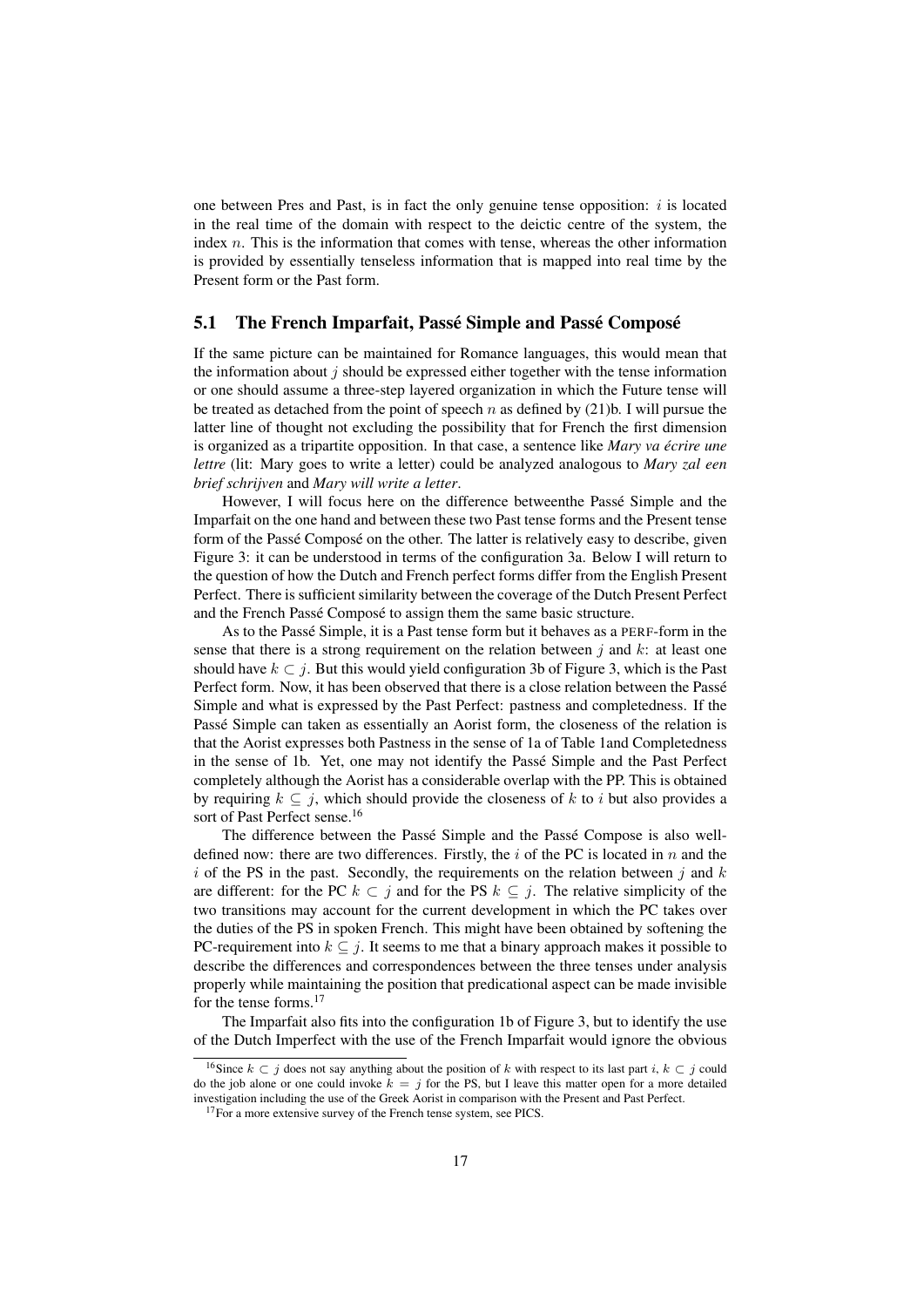one between Pres and Past, is in fact the only genuine tense opposition:  $i$  is located in the real time of the domain with respect to the deictic centre of the system, the index n. This is the information that comes with tense, whereas the other information is provided by essentially tenseless information that is mapped into real time by the Present form or the Past form.

#### 5.1 The French Imparfait, Passé Simple and Passé Composé

If the same picture can be maintained for Romance languages, this would mean that the information about  $j$  should be expressed either together with the tense information or one should assume a three-step layered organization in which the Future tense will be treated as detached from the point of speech n as defined by  $(21)$ b. I will pursue the latter line of thought not excluding the possibility that for French the first dimension is organized as a tripartite opposition. In that case, a sentence like *Mary va ecrire une ´ lettre* (lit: Mary goes to write a letter) could be analyzed analogous to *Mary zal een brief schrijven* and *Mary will write a letter*.

However, I will focus here on the difference betweenthe Passé Simple and the Imparfait on the one hand and between these two Past tense forms and the Present tense form of the Passé Composé on the other. The latter is relatively easy to describe, given Figure 3: it can be understood in terms of the configuration 3a. Below I will return to the question of how the Dutch and French perfect forms differ from the English Present Perfect. There is sufficient similarity between the coverage of the Dutch Present Perfect and the French Passé Composé to assign them the same basic structure.

As to the Passé Simple, it is a Past tense form but it behaves as a PERF-form in the sense that there is a strong requirement on the relation between  $j$  and  $k$ : at least one should have  $k \subset j$ . But this would yield configuration 3b of Figure 3, which is the Past Perfect form. Now, it has been observed that there is a close relation between the Passé Simple and what is expressed by the Past Perfect: pastness and completedness. If the Passé Simple can taken as essentially an Aorist form, the closeness of the relation is that the Aorist expresses both Pastness in the sense of 1a of Table 1and Completedness in the sense of 1b. Yet, one may not identify the Passe Simple and the Past Perfect ´ completely although the Aorist has a considerable overlap with the PP. This is obtained by requiring  $k \subseteq j$ , which should provide the closeness of k to i but also provides a sort of Past Perfect sense.<sup>16</sup>

The difference between the Passé Simple and the Passé Compose is also welldefined now: there are two differences. Firstly, the i of the PC is located in n and the i of the PS in the past. Secondly, the requirements on the relation between  $j$  and  $k$ are different: for the PC  $k \subset j$  and for the PS  $k \subset j$ . The relative simplicity of the two transitions may account for the current development in which the PC takes over the duties of the PS in spoken French. This might have been obtained by softening the PC-requirement into  $k \subseteq j$ . It seems to me that a binary approach makes it possible to describe the differences and correspondences between the three tenses under analysis properly while maintaining the position that predicational aspect can be made invisible for the tense forms.<sup>17</sup>

The Imparfait also fits into the configuration 1b of Figure 3, but to identify the use of the Dutch Imperfect with the use of the French Imparfait would ignore the obvious

<sup>&</sup>lt;sup>16</sup>Since  $k \subset j$  does not say anything about the position of k with respect to its last part  $i, k \subset j$  could do the job alone or one could invoke  $k = j$  for the PS, but I leave this matter open for a more detailed investigation including the use of the Greek Aorist in comparison with the Present and Past Perfect.

<sup>&</sup>lt;sup>17</sup>For a more extensive survey of the French tense system, see PICS.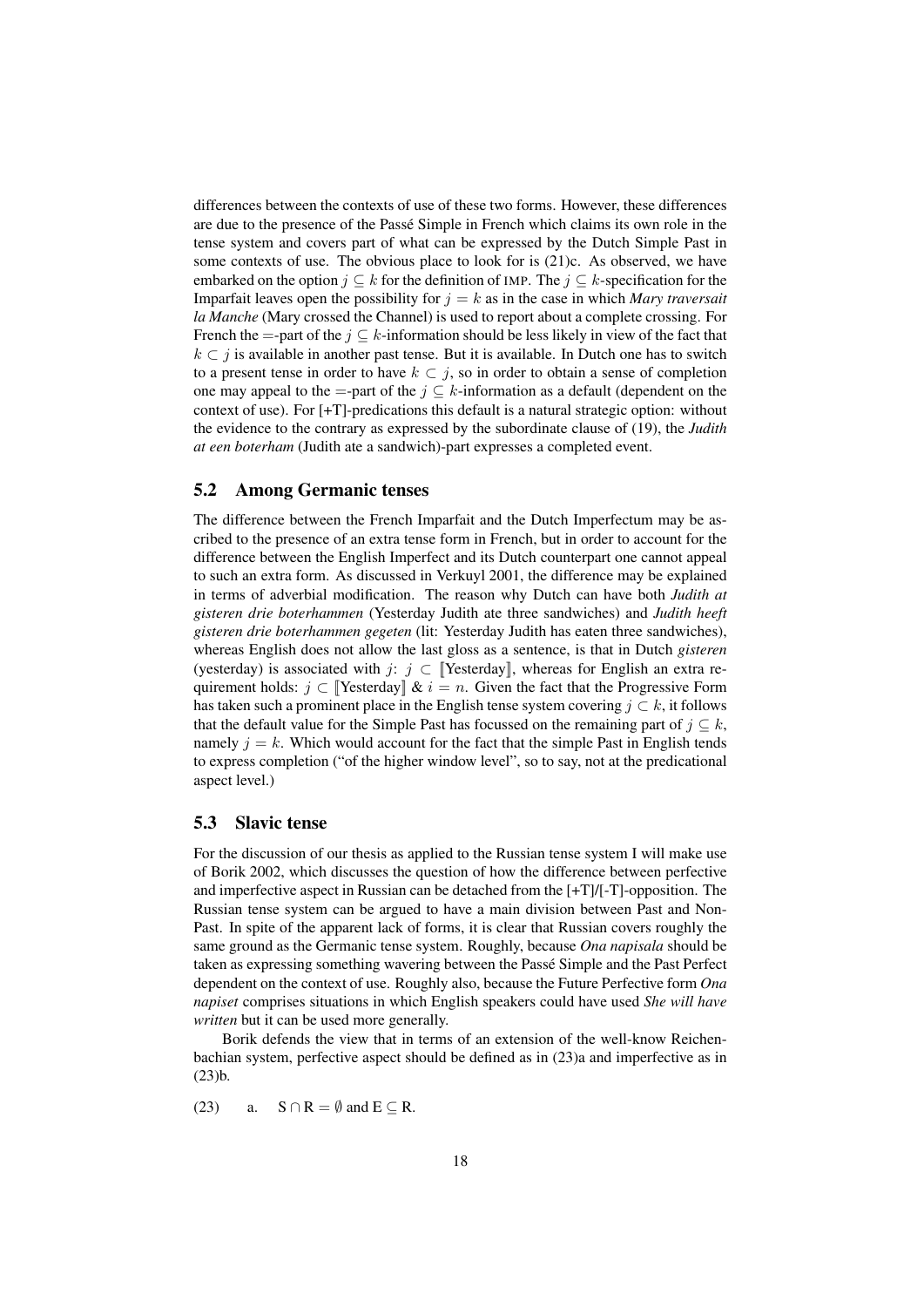differences between the contexts of use of these two forms. However, these differences are due to the presence of the Passe Simple in French which claims its own role in the ´ tense system and covers part of what can be expressed by the Dutch Simple Past in some contexts of use. The obvious place to look for is (21)c. As observed, we have embarked on the option  $j \subseteq k$  for the definition of IMP. The  $j \subseteq k$ -specification for the Imparfait leaves open the possibility for  $j = k$  as in the case in which *Mary traversait la Manche* (Mary crossed the Channel) is used to report about a complete crossing. For French the =-part of the  $j \subseteq k$ -information should be less likely in view of the fact that  $k \subset j$  is available in another past tense. But it is available. In Dutch one has to switch to a present tense in order to have  $k \subset j$ , so in order to obtain a sense of completion one may appeal to the =-part of the  $j \subseteq k$ -information as a default (dependent on the context of use). For [+T]-predications this default is a natural strategic option: without the evidence to the contrary as expressed by the subordinate clause of (19), the *Judith at een boterham* (Judith ate a sandwich)-part expresses a completed event.

### 5.2 Among Germanic tenses

The difference between the French Imparfait and the Dutch Imperfectum may be ascribed to the presence of an extra tense form in French, but in order to account for the difference between the English Imperfect and its Dutch counterpart one cannot appeal to such an extra form. As discussed in Verkuyl 2001, the difference may be explained in terms of adverbial modification. The reason why Dutch can have both *Judith at gisteren drie boterhammen* (Yesterday Judith ate three sandwiches) and *Judith heeft gisteren drie boterhammen gegeten* (lit: Yesterday Judith has eaten three sandwiches), whereas English does not allow the last gloss as a sentence, is that in Dutch *gisteren* (yesterday) is associated with j:  $j \text{ }\subset \text{ }$ [Yesterday], whereas for English an extra requirement holds:  $j \subset \llbracket$ Yesterday $\rrbracket \& i = n$ . Given the fact that the Progressive Form has taken such a prominent place in the English tense system covering  $j \subset k$ , it follows that the default value for the Simple Past has focussed on the remaining part of  $j \subseteq k$ , namely  $j = k$ . Which would account for the fact that the simple Past in English tends to express completion ("of the higher window level", so to say, not at the predicational aspect level.)

## 5.3 Slavic tense

For the discussion of our thesis as applied to the Russian tense system I will make use of Borik 2002, which discusses the question of how the difference between perfective and imperfective aspect in Russian can be detached from the [+T]/[-T]-opposition. The Russian tense system can be argued to have a main division between Past and Non-Past. In spite of the apparent lack of forms, it is clear that Russian covers roughly the same ground as the Germanic tense system. Roughly, because *Ona napisala* should be taken as expressing something wavering between the Passe Simple and the Past Perfect ´ dependent on the context of use. Roughly also, because the Future Perfective form *Ona napiset* comprises situations in which English speakers could have used *She will have written* but it can be used more generally.

Borik defends the view that in terms of an extension of the well-know Reichenbachian system, perfective aspect should be defined as in (23)a and imperfective as in (23)b.

(23) a.  $S \cap R = \emptyset$  and  $E \subseteq R$ .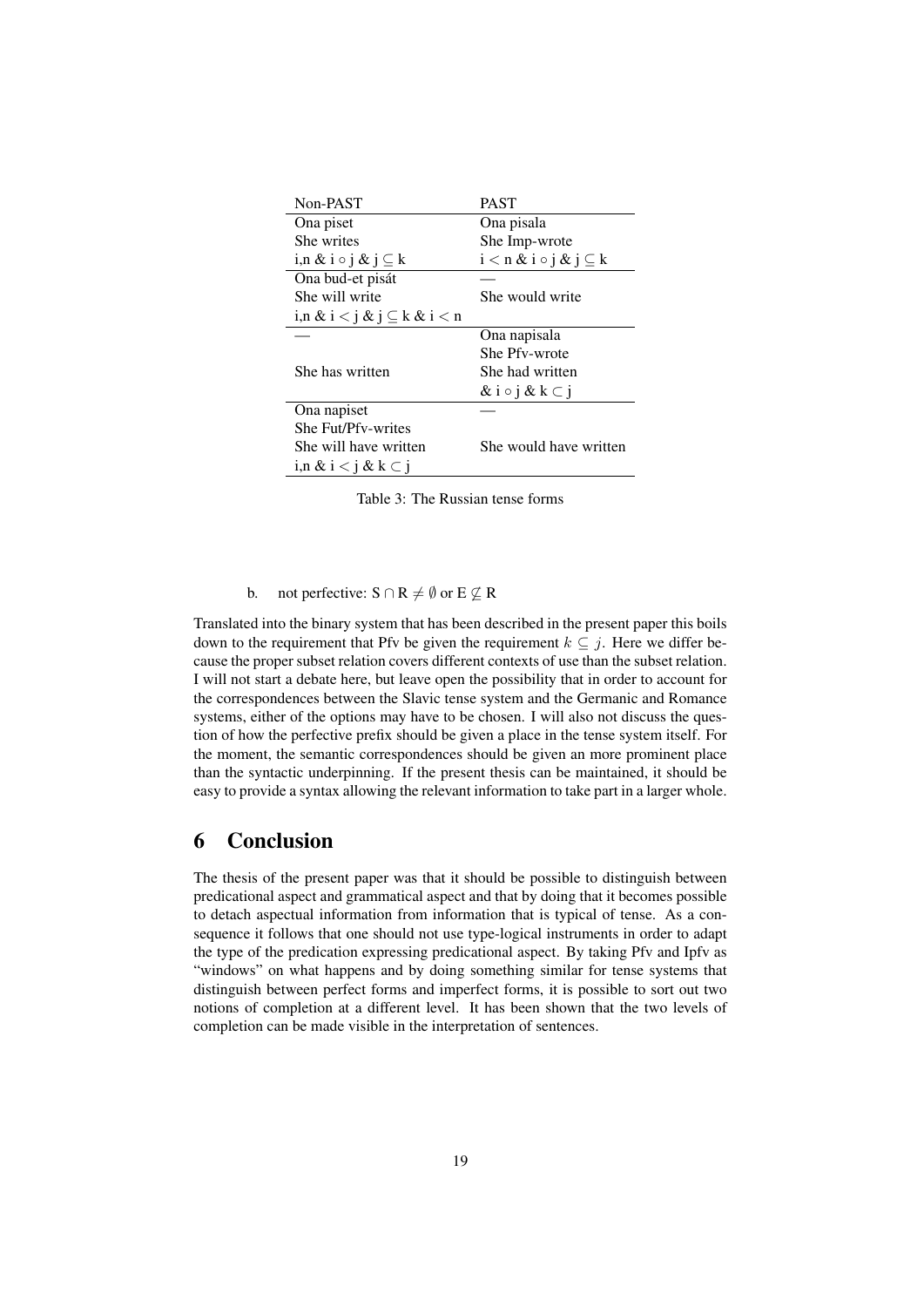| Non-PAST                                | <b>PAST</b>                             |
|-----------------------------------------|-----------------------------------------|
| Ona piset                               | Ona pisala                              |
| She writes                              | She Imp-wrote                           |
| i,n $\&$ i $\circ$ j $\&$ j $\subset$ k | $i < n$ & $i \circ j$ & $j \subseteq k$ |
| Ona bud-et pisát                        |                                         |
| She will write                          | She would write                         |
| i,n & i < j & j $\subseteq$ k & i < n   |                                         |
|                                         | Ona napisala                            |
|                                         | She Pfv-wrote                           |
| She has written                         | She had written                         |
|                                         | $&$ i $\circ$ j $&$ k $\subset$ j       |
| Ona napiset                             |                                         |
| <b>She Fut/Pfv-writes</b>               |                                         |
| She will have written                   | She would have written                  |
| i,n $\&$ i $\lt$ j $\&$ k $\lt$ j       |                                         |

Table 3: The Russian tense forms

### b. not perfective:  $S \cap R \neq \emptyset$  or  $E \nsubseteq R$

Translated into the binary system that has been described in the present paper this boils down to the requirement that Pfv be given the requirement  $k \subseteq j$ . Here we differ because the proper subset relation covers different contexts of use than the subset relation. I will not start a debate here, but leave open the possibility that in order to account for the correspondences between the Slavic tense system and the Germanic and Romance systems, either of the options may have to be chosen. I will also not discuss the question of how the perfective prefix should be given a place in the tense system itself. For the moment, the semantic correspondences should be given an more prominent place than the syntactic underpinning. If the present thesis can be maintained, it should be easy to provide a syntax allowing the relevant information to take part in a larger whole.

# 6 Conclusion

The thesis of the present paper was that it should be possible to distinguish between predicational aspect and grammatical aspect and that by doing that it becomes possible to detach aspectual information from information that is typical of tense. As a consequence it follows that one should not use type-logical instruments in order to adapt the type of the predication expressing predicational aspect. By taking Pfv and Ipfv as "windows" on what happens and by doing something similar for tense systems that distinguish between perfect forms and imperfect forms, it is possible to sort out two notions of completion at a different level. It has been shown that the two levels of completion can be made visible in the interpretation of sentences.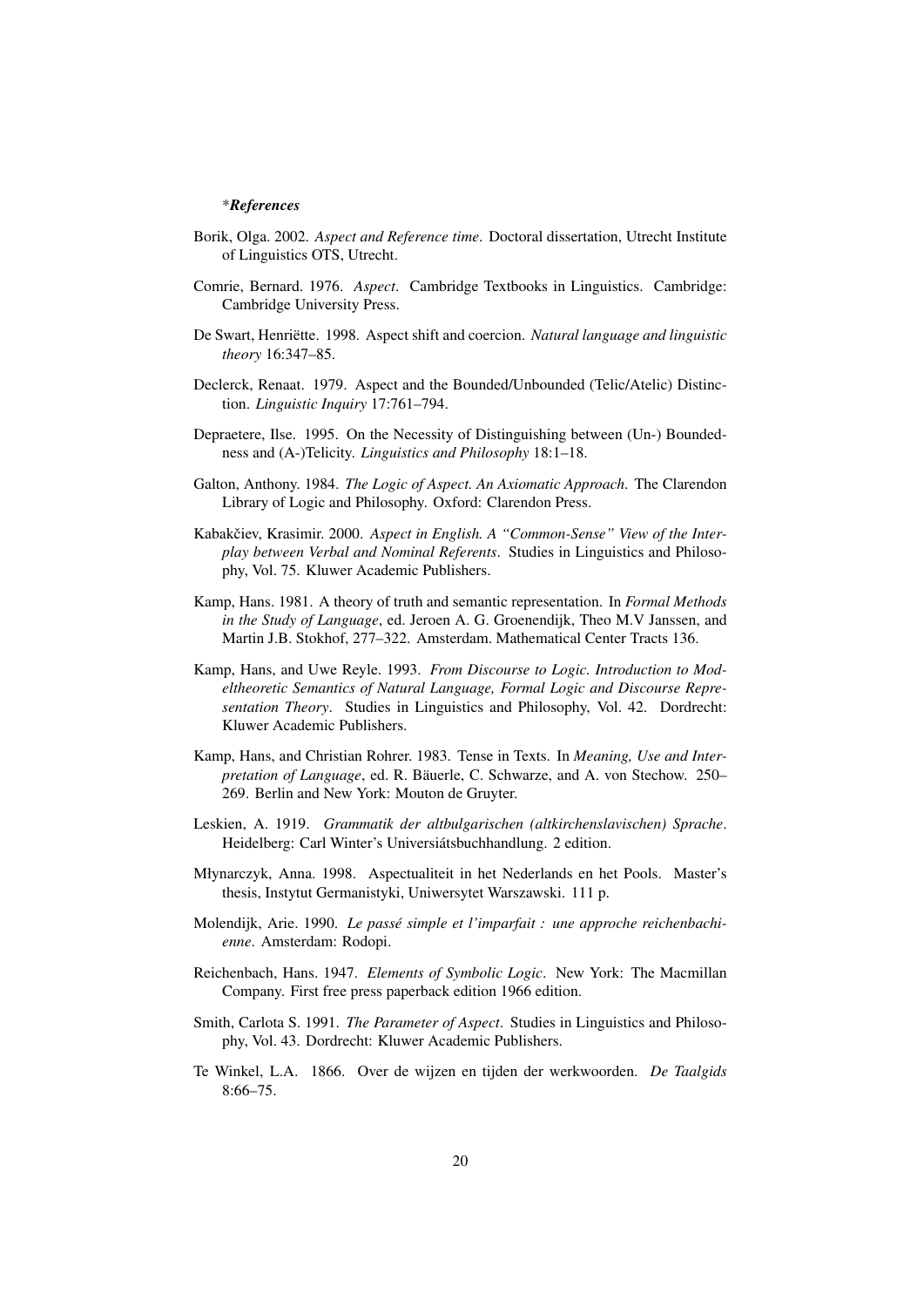#### \**References*

- Borik, Olga. 2002. *Aspect and Reference time*. Doctoral dissertation, Utrecht Institute of Linguistics OTS, Utrecht.
- Comrie, Bernard. 1976. *Aspect*. Cambridge Textbooks in Linguistics. Cambridge: Cambridge University Press.
- De Swart, Henriëtte. 1998. Aspect shift and coercion. *Natural language and linguistic theory* 16:347–85.
- Declerck, Renaat. 1979. Aspect and the Bounded/Unbounded (Telic/Atelic) Distinction. *Linguistic Inquiry* 17:761–794.
- Depraetere, Ilse. 1995. On the Necessity of Distinguishing between (Un-) Boundedness and (A-)Telicity. *Linguistics and Philosophy* 18:1–18.
- Galton, Anthony. 1984. *The Logic of Aspect. An Axiomatic Approach*. The Clarendon Library of Logic and Philosophy. Oxford: Clarendon Press.
- Kabakčiev, Krasimir. 2000. Aspect in English. A "Common-Sense" View of the Inter*play between Verbal and Nominal Referents*. Studies in Linguistics and Philosophy, Vol. 75. Kluwer Academic Publishers.
- Kamp, Hans. 1981. A theory of truth and semantic representation. In *Formal Methods in the Study of Language*, ed. Jeroen A. G. Groenendijk, Theo M.V Janssen, and Martin J.B. Stokhof, 277–322. Amsterdam. Mathematical Center Tracts 136.
- Kamp, Hans, and Uwe Reyle. 1993. *From Discourse to Logic. Introduction to Modeltheoretic Semantics of Natural Language, Formal Logic and Discourse Representation Theory*. Studies in Linguistics and Philosophy, Vol. 42. Dordrecht: Kluwer Academic Publishers.
- Kamp, Hans, and Christian Rohrer. 1983. Tense in Texts. In *Meaning, Use and Interpretation of Language*, ed. R. Bäuerle, C. Schwarze, and A. von Stechow. 250– 269. Berlin and New York: Mouton de Gruyter.
- Leskien, A. 1919. *Grammatik der altbulgarischen (altkirchenslavischen) Sprache*. Heidelberg: Carl Winter's Universiatsbuchhandlung. 2 edition.
- Młynarczyk, Anna. 1998. Aspectualiteit in het Nederlands en het Pools. Master's thesis, Instytut Germanistyki, Uniwersytet Warszawski. 111 p.
- Molendijk, Arie. 1990. *Le passe simple et l'imparfait : une approche reichenbachi- ´ enne*. Amsterdam: Rodopi.
- Reichenbach, Hans. 1947. *Elements of Symbolic Logic*. New York: The Macmillan Company. First free press paperback edition 1966 edition.
- Smith, Carlota S. 1991. *The Parameter of Aspect*. Studies in Linguistics and Philosophy, Vol. 43. Dordrecht: Kluwer Academic Publishers.
- Te Winkel, L.A. 1866. Over de wijzen en tijden der werkwoorden. *De Taalgids* 8:66–75.